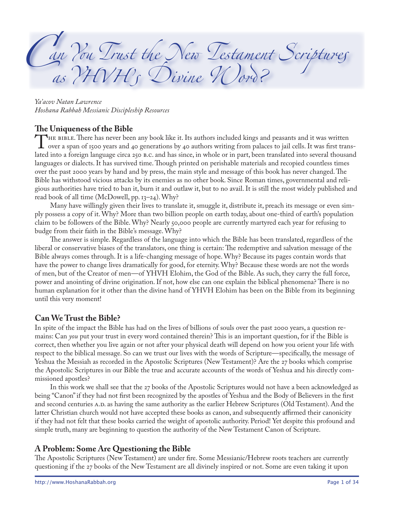*an tou Prust the Stew Destament Scriptures* as *(IVIII)* Divine *I* Coros

*Ya'acov Natan Lawrence Hoshana Rabbah Messianic Discipleship Resources*

The Uniqueness of the Bible<br>The BIBLE. There has never been any book like it. Its authors included kings and peasants and it was written THE BIBLE. There has never been any book like it. Its authors included kings and peasants and it was written over a span of 1500 years and 40 generations by 40 authors writing from palaces to jail cells. It was first tran lated into a foreign language circa 250 B.C. and has since, in whole or in part, been translated into several thousand languages or dialects. It has survived time. Though printed on perishable materials and recopied countless times over the past 2000 years by hand and by press, the main style and message of this book has never changed. The Bible has withstood vicious attacks by its enemies as no other book. Since Roman times, governmental and religious authorities have tried to ban it, burn it and outlaw it, but to no avail. It is still the most widely published and read book of all time (McDowell, pp.  $13-24$ ). Why?

Many have willingly given their lives to translate it, smuggle it, distribute it, preach its message or even simply possess a copy of it. Why? More than two billion people on earth today, about one-third of earth's population claim to be followers of the Bible. Why? Nearly 50,000 people are currently martyred each year for refusing to budge from their faith in the Bible's message. Why?

The answer is simple. Regardless of the language into which the Bible has been translated, regardless of the liberal or conservative biases of the translators, one thing is certain: The redemptive and salvation message of the Bible always comes through. It is a life-changing message of hope. Why? Because its pages contain words that have the power to change lives dramatically for good, for eternity. Why? Because these words are not the words of men, but of the Creator of men—of YHVH Elohim, the God of the Bible. As such, they carry the full force, power and anointing of divine origination. If not, how else can one explain the biblical phenomena? There is no human explanation for it other than the divine hand of YHVH Elohim has been on the Bible from its beginning until this very moment!

## **Can We Trust the Bible?**

In spite of the impact the Bible has had on the lives of billions of souls over the past 2000 years, a question remains: Can *you* put your trust in every word contained therein? This is an important question, for if the Bible is correct, then whether you live again or not after your physical death will depend on how you orient your life with respect to the biblical message. So can we trust our lives with the words of Scripture—specifically, the message of Yeshua the Messiah as recorded in the Apostolic Scriptures (New Testament)? Are the 27 books which comprise the Apostolic Scriptures in our Bible the true and accurate accounts of the words of Yeshua and his directly commissioned apostles?

In this work we shall see that the 27 books of the Apostolic Scriptures would not have a been acknowledged as being "Canon" if they had not first been recognized by the apostles of Yeshua and the Body of Believers in the first and second centuries A.D. as having the same authority as the earlier Hebrew Scriptures (Old Testament). And the latter Christian church would not have accepted these books as canon, and subsequently affirmed their canonicity if they had not felt that these books carried the weight of apostolic authority. Period! Yet despite this profound and simple truth, many are beginning to question the authority of the New Testament Canon of Scripture.

# **A Problem: Some Are Questioning the Bible**

The Apostolic Scriptures (New Testament) are under fire. Some Messianic/Hebrew roots teachers are currently questioning if the 27 books of the New Testament are all divinely inspired or not. Some are even taking it upon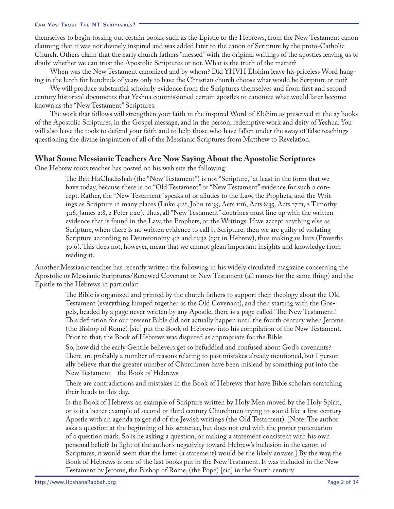themselves to begin tossing out certain books, such as the Epistle to the Hebrews, from the New Testament canon claiming that it was not divinely inspired and was added later to the canon of Scripture by the proto-Catholic Church. Others claim that the early church fathers "messed" with the original writings of the apostles leaving us to doubt whether we can trust the Apostolic Scriptures or not. What is the truth of the matter?

When was the New Testament canonized and by whom? Did YHVH Elohim leave his priceless Word hanging in the lurch for hundreds of years only to have the Christian church choose what would be Scripture or not?

We will produce substantial scholarly evidence from the Scriptures themselves and from first and second century historical documents that Yeshua commissioned certain apostles to canonize what would later become known as the "New Testament" Scriptures.

The work that follows will strengthen your faith in the inspired Word of Elohim as preserved in the 27 books of the Apostolic Scriptures, in the Gospel message, and in the person, redemptive work and deity of Yeshua. You will also have the tools to defend your faith and to help those who have fallen under the sway of false teachings questioning the divine inspiration of all of the Messianic Scriptures from Matthew to Revelation.

### **What Some Messianic Teachers Are Now Saying About the Apostolic Scriptures**

One Hebrew roots teacher has posted on his web site the following:

The Brit HaChadashah (the "New Testament") is not "Scripture," at least in the form that we have today, because there is no "Old Testament" or "New Testament" evidence for such a concept. Rather, the "New Testament" speaks of or alludes to the Law, the Prophets, and the Writings as Scripture in many places (Luke 4:21, John 10:35, Acts 1:16, Acts 8:35, Acts 17:11, 2 Timothy 3:16, James 2:8, 2 Peter 1:20). Thus, all "New Testament" doctrines must line up with the written evidence that is found in the Law, the Prophets, or the Writings. If we accept anything else as Scripture, when there is no written evidence to call it Scripture, then we are guilty of violating Scripture according to Deuteronomy 4:2 and  $12:32$  ( $13:1$  in Hebrew), thus making us liars (Proverbs :). This does not, however, mean that we cannot glean important insights and knowledge from reading it.

Another Messianic teacher has recently written the following in his widely circulated magazine concerning the Apostolic or Messianic Scriptures/Renewed Covenant or New Testament (all names for the same thing) and the Epistle to the Hebrews in particular:

The Bible is organized and printed by the church fathers to support their theology about the Old Testament (everything lumped together as the Old Covenant), and then starting with the Gospels, headed by a page never written by any Apostle, there is a page called 'The New Testament.' This definition for our present Bible did not actually happen until the fourth century when Jerome (the Bishop of Rome) [sic] put the Book of Hebrews into his compilation of the New Testament. Prior to that, the Book of Hebrews was disputed as appropriate for the Bible.

So, how did the early Gentile believers get so befuddled and confused about God's covenants? There are probably a number of reasons relating to past mistakes already mentioned, but I personally believe that the greater number of Churchmen have been mislead by something put into the New Testament—the Book of Hebrews.

There are contradictions and mistakes in the Book of Hebrews that have Bible scholars scratching their heads to this day.

Is the Book of Hebrews an example of Scripture written by Holy Men moved by the Holy Spirit, or is it a better example of second or third century Churchmen trying to sound like a first century Apostle with an agenda to get rid of the Jewish writings (the Old Testament). [Note: The author asks a question at the beginning of his sentence, but does not end with the proper punctuation of a question mark. So is he asking a question, or making a statement consistent with his own personal belief? In light of the author's negativity toward Hebrew's inclusion in the canon of Scriptures, it would seem that the latter (a statement) would be the likely answer.] By the way, the Book of Hebrews is one of the last books put in the New Testament. It was included in the New Testament by Jerome, the Bishop of Rome, (the Pope) [sic] in the fourth century.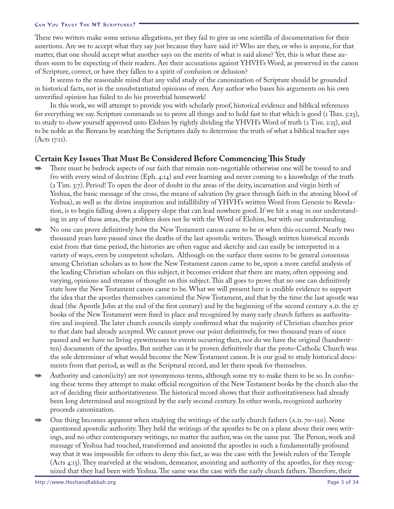These two writers make some serious allegations, yet they fail to give us one scintilla of documentation for their assertions. Are we to accept what they say just because they have said it? Who are they, or who is anyone, for that matter, that one should accept what another says on the merits of what is said alone? Yet, this is what these authors seem to be expecting of their readers. Are their accusations against YHVH's Word, as preserved in the canon of Scripture, correct, or have they fallen to a spirit of confusion or delusion?

It seems to the reasonable mind that any valid study of the canonization of Scripture should be grounded in historical facts, not in the unsubstantiated opinions of men. Any author who bases his arguments on his own unverified opinion has failed to do his proverbial homework!

In this work, we will attempt to provide you with scholarly proof, historical evidence and biblical references for everything we say. Scripture commands us to prove all things and to hold fast to that which is good ( $\tau$  Thes. 5:23), to study to show yourself approved unto Elohim by rightly dividing the YHVH's Word of truth ( $2$  Tim.  $2:15$ ), and to be noble as the Bereans by searching the Scriptures daily to determine the truth of what a biblical teacher says  $(Acts I7:II).$ 

### **Certain Key Issues That Must Be Considered Before Commencing This Study**

- There must be bedrock aspects of our faith that remain non-negotiable otherwise one will be tossed to and fro with every wind of doctrine (Eph. 4:14) and ever learning and never coming to a knowledge of the truth (2 Tim. 3:7). Period! To open the door of doubt in the areas of the deity, incarnation and virgin birth of Yeshua, the basic message of the cross, the means of salvation (by grace through faith in the atoning blood of Yeshua), as well as the divine inspiration and infallibility of YHVH's written Word from Genesis to Revelation, is to begin falling down a slippery slope that can lead nowhere good. If we hit a snag in our understanding in any of these areas, the problem does not lie with the Word of Elohim, but with our understanding. D<sub>A</sub>
- No one can prove definitively how the New Testament canon came to be or when this occurred. Nearly two thousand years have passed since the deaths of the last apostolic writers. Though written historical records exist from that time period, the histories are often vague and sketchy and can easily be interpreted in a variety of ways, even by competent scholars. Although on the surface there seems to be general consensus among Christian scholars as to how the New Testament canon came to be, upon a more careful analysis of the leading Christian scholars on this subject, it becomes evident that there are many, often opposing and varying, opinions and streams of thought on this subject. This all goes to prove that no one can definitively state how the New Testament canon came to be. What we will present here is credible evidence to support the idea that the apostles themselves canonized the New Testament, and that by the time the last apostle was dead (the Apostle John at the end of the first century) and by the beginning of the second century A.D. the 27 books of the New Testament were fixed in place and recognized by many early church fathers as authoritative and inspired. The later church councils simply confirmed what the majority of Christian churches prior to that date had already accepted. We cannot prove our point definitively, for two thousand years of since passed and we have no living eyewitnesses to events occurring then, nor do we have the original (handwritten) documents of the apostles. But neither can it be proven definitively that the proto-Catholic Church was the sole determiner of what would become the New Testament canon. It is our goal to study historical documents from that period, as well as the Scriptural record, and let them speak for themselves. D<sub>A</sub>
- Authority and canon(icity) are not synonymous terms, although some try to make them to be so. In confusing these terms they attempt to make official recognition of the New Testament books by the church also the act of deciding their authoritativeness. The historical record shows that their authoritativeness had already been long determined and recognized by the early second century. In other words, recognized authority proceeds canonization. D<sub>A</sub>
- One thing becomes apparent when studying the writings of the early church fathers  $(A.D. 70-120)$ . None questioned apostolic authority. They held the writings of the apostles to be on a plane above their own writings, and no other contemporary writings, no matter the author, was on the same par. The Person, work and message of Yeshua had touched, transformed and anointed the apostles in such a fundamentally profound way that it was impossible for others to deny this fact, as was the case with the Jewish rulers of the Temple (Acts  $4:13$ ). They marveled at the wisdom, demeanor, anointing and authority of the apostles, for they recognized that they had been with Yeshua. The same was the case with the early church fathers. Therefore, their D<sub>A</sub>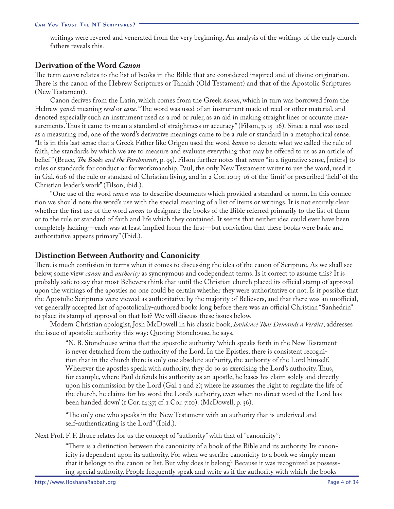writings were revered and venerated from the very beginning. An analysis of the writings of the early church fathers reveals this.

### **Derivation of the Word** *Canon*

The term *canon* relates to the list of books in the Bible that are considered inspired and of divine origination. There is the canon of the Hebrew Scriptures or Tanakh (Old Testament) and that of the Apostolic Scriptures (New Testament).

Canon derives from the Latin, which comes from the Greek *kanon*, which in turn was borrowed from the Hebrew *qaneh* meaning *reed* or *cane*. "The word was used of an instrument made of reed or other material, and denoted especially such an instrument used as a rod or ruler, as an aid in making straight lines or accurate measurements. Thus it came to mean a standard of straightness or accuracy" (Filson, p. 15–16). Since a reed was used as a measuring rod, one of the word's derivative meanings came to be a rule or standard in a metaphorical sense. "It is in this last sense that a Greek Father like Origen used the word *kanon* to denote what we called the rule of faith, the standards by which we are to measure and evaluate everything that may be offered to us as an article of belief" (Bruce, *The Books and the Parchments*, p. 95). Filson further notes that *canon* "in a figurative sense, [refers] to rules or standards for conduct or for workmanship. Paul, the only New Testament writer to use the word, used it in Gal. 6:16 of the rule or standard of Christian living, and in 2 Cor. 10:13-16 of the 'limit' or prescribed 'field' of the Christian leader's work" (Filson, ibid.).

"One use of the word *canon* was to describe documents which provided a standard or norm. In this connection we should note the word's use with the special meaning of a list of items or writings. It is not entirely clear whether the first use of the word *canon* to designate the books of the Bible referred primarily to the list of them or to the rule or standard of faith and life which they contained. It seems that neither idea could ever have been completely lacking—each was at least implied from the first—but conviction that these books were basic and authoritative appears primary" (Ibid.).

### **Distinction Between Authority and Canonicity**

There is much confusion in terms when it comes to discussing the idea of the canon of Scripture. As we shall see below, some view *canon* and *authority* as synonymous and codependent terms. Is it correct to assume this? It is probably safe to say that most Believers think that until the Christian church placed its official stamp of approval upon the writings of the apostles no one could be certain whether they were authoritative or not. Is it possible that the Apostolic Scriptures were viewed as authoritative by the majority of Believers, and that there was an unofficial, yet generally accepted list of apostolically-authored books long before there was an official Christian "Sanhedrin" to place its stamp of approval on that list? We will discuss these issues below.

Modern Christian apologist, Josh McDowell in his classic book, *Evidence That Demands a Verdict*, addresses the issue of apostolic authority this way: Quoting Stonehouse, he says,

"N. B. Stonehouse writes that the apostolic authority 'which speaks forth in the New Testament is never detached from the authority of the Lord. In the Epistles, there is consistent recognition that in the church there is only one absolute authority, the authority of the Lord himself. Wherever the apostles speak with authority, they do so as exercising the Lord's authority. Thus, for example, where Paul defends his authority as an apostle, he bases his claim solely and directly upon his commission by the Lord (Gal.  $\bar{x}$  and  $\bar{z}$ ); where he assumes the right to regulate the life of the church, he claims for his word the Lord's authority, even when no direct word of the Lord has been handed down' (I Cor. 14:37; cf. 1 Cor. 7:10). (McDowell, p. 36).

"The only one who speaks in the New Testament with an authority that is underived and self-authenticating is the Lord" (Ibid.).

Next Prof. F. F. Bruce relates for us the concept of "authority" with that of "canonicity":

"There is a distinction between the canonicity of a book of the Bible and its authority. Its canonicity is dependent upon its authority. For when we ascribe canonicity to a book we simply mean that it belongs to the canon or list. But why does it belong? Because it was recognized as possessing special authority. People frequently speak and write as if the authority with which the books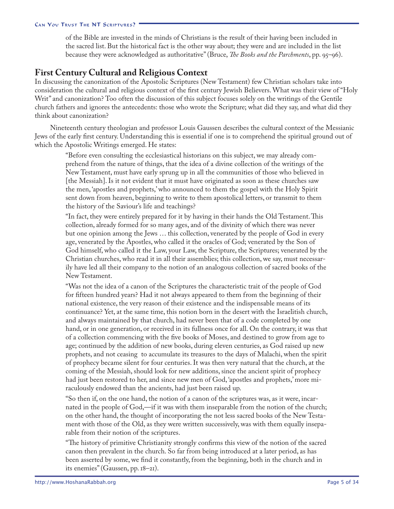of the Bible are invested in the minds of Christians is the result of their having been included in the sacred list. But the historical fact is the other way about; they were and are included in the list because they were acknowledged as authoritative" (Bruce, *The Books and the Parchments*, pp. 95–96).

## **First Century Cultural and Religious Context**

In discussing the canonization of the Apostolic Scriptures (New Testament) few Christian scholars take into consideration the cultural and religious context of the first century Jewish Believers. What was their view of "Holy Writ" and canonization? Too often the discussion of this subject focuses solely on the writings of the Gentile church fathers and ignores the antecedents: those who wrote the Scripture; what did they say, and what did they think about canonization?

Nineteenth century theologian and professor Louis Gaussen describes the cultural context of the Messianic Jews of the early first century. Understanding this is essential if one is to comprehend the spiritual ground out of which the Apostolic Writings emerged. He states:

"Before even consulting the ecclesiastical historians on this subject, we may already comprehend from the nature of things, that the idea of a divine collection of the writings of the New Testament, must have early sprung up in all the communities of those who believed in [the Messiah]. Is it not evident that it must have originated as soon as these churches saw the men, 'apostles and prophets,' who announced to them the gospel with the Holy Spirit sent down from heaven, beginning to write to them apostolical letters, or transmit to them the history of the Saviour's life and teachings?

"In fact, they were entirely prepared for it by having in their hands the Old Testament. This collection, already formed for so many ages, and of the divinity of which there was never but one opinion among the Jews … this collection, venerated by the people of God in every age, venerated by the Apostles, who called it the oracles of God; venerated by the Son of God himself, who called it the Law, your Law, the Scripture, the Scriptures; venerated by the Christian churches, who read it in all their assemblies; this collection, we say, must necessarily have led all their company to the notion of an analogous collection of sacred books of the New Testament.

"Was not the idea of a canon of the Scriptures the characteristic trait of the people of God for fifteen hundred years? Had it not always appeared to them from the beginning of their national existence, the very reason of their existence and the indispensable means of its continuance? Yet, at the same time, this notion born in the desert with the Israelitish church, and always maintained by that church, had never been that of a code completed by one hand, or in one generation, or received in its fullness once for all. On the contrary, it was that of a collection commencing with the five books of Moses, and destined to grow from age to age; continued by the addition of new books, during eleven centuries, as God raised up new prophets, and not ceasing to accumulate its treasures to the days of Malachi, when the spirit of prophecy became silent for four centuries. It was then very natural that the church, at the coming of the Messiah, should look for new additions, since the ancient spirit of prophecy had just been restored to her, and since new men of God, 'apostles and prophets,' more miraculously endowed than the ancients, had just been raised up.

"So then if, on the one hand, the notion of a canon of the scriptures was, as it were, incarnated in the people of God,—if it was with them inseparable from the notion of the church; on the other hand, the thought of incorporating the not less sacred books of the New Testament with those of the Old, as they were written successively, was with them equally inseparable from their notion of the scriptures.

"The history of primitive Christianity strongly confirms this view of the notion of the sacred canon then prevalent in the church. So far from being introduced at a later period, as has been asserted by some, we find it constantly, from the beginning, both in the church and in its enemies" (Gaussen, pp. 18–21).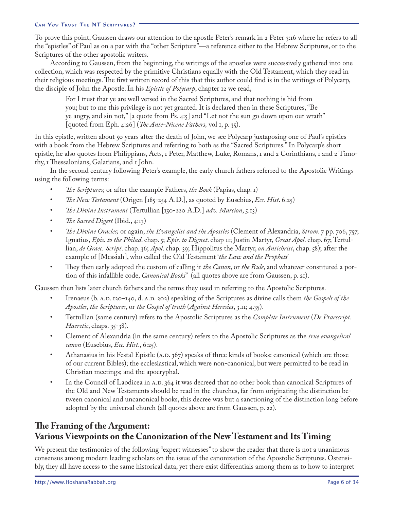To prove this point, Gaussen draws our attention to the apostle Peter's remark in 2 Peter 3:16 where he refers to all the "epistles" of Paul as on a par with the "other Scripture"—a reference either to the Hebrew Scriptures, or to the Scriptures of the other apostolic writers.

According to Gaussen, from the beginning, the writings of the apostles were successively gathered into one collection, which was respected by the primitive Christians equally with the Old Testament, which they read in their religious meetings. The first written record of this that this author could find is in the writings of Polycarp, the disciple of John the Apostle. In his *Epistle of Polycarp*, chapter 12 we read,

For I trust that ye are well versed in the Sacred Scriptures, and that nothing is hid from you; but to me this privilege is not yet granted. It is declared then in these Scriptures, "Be ye angry, and sin not," [a quote from Ps. 4:5] and "Let not the sun go down upon our wrath" [quoted from Eph. 4:26] (*The Ante-Nicene Fathers,* vol 1, p. 35).

In this epistle, written about 50 years after the death of John, we see Polycarp juxtaposing one of Paul's epistles with a book from the Hebrew Scriptures and referring to both as the "Sacred Scriptures." In Polycarp's short epistle, he also quotes from Philippians, Acts, 1 Peter, Matthew, Luke, Romans, 1 and 2 Corinthians, 1 and 2 Timothy, 1 Thessalonians, Galatians, and 1 John.

In the second century following Peter's example, the early church fathers referred to the Apostolic Writings using the following terms:

- *The Scriptures*; or after the example Fathers, *the Book* (Papias, chap. 1) •
- *The New Testament* (Origen [185-254 A.D.], as quoted by Eusebius, *Ecc. Hist*. 6.25) •
- *The Divine Instrument* (Tertullian [150-220 A.D.] *adv. Marcion*, 5.13) •
- *The Sacred Digest* (Ibid., 4:13) •
- *The Divine Oracles;* or again, *the Evangelist and the Apostles* (Clement of Alexandria, *Strom*. 7 pp. 706, 757; Ignatius, *Epis. to the Philad*. chap. 5; *Epis. to Dignet*. chap 11; Justin Martyr, *Great Apol*. chap. 67; Tertullian, *de Graec. Script*. chap. 36; *Apol*. chap. 39; Hippolitus the Martyr, *on Antichrist*, chap. 58); after the example of [Messiah], who called the Old Testament '*the Law and the Prophets*' •
- They then early adopted the custom of calling it *the Canon*, or *the Rule*, and whatever constituted a portion of this infallible code, *Canonical Books*" (all quotes above are from Gaussen, p. 21). •

Gaussen then lists later church fathers and the terms they used in referring to the Apostolic Scriptures.

- Irenaeus (b. A.D. 120–140, d. A.D. 202) speaking of the Scriptures as divine calls them *the Gospels of the Apostles*, *the Scriptures*, or *the Gospel of truth* (*Against Heresies*, 3.11; 4.35). •
- Tertullian (same century) refers to the Apostolic Scriptures as the *Complete Instrument* (*De Praescript. Haeretic*, chaps. 35-38). •
- Clement of Alexandria (in the same century) refers to the Apostolic Scriptures as the *true evangelical canon* (Eusebius, *Ecc. Hist*., 6:25). •
- Athanasius in his Festal Epistle (A.D.  $367$ ) speaks of three kinds of books: canonical (which are those of our current Bibles); the ecclesiastical, which were non-canonical, but were permitted to be read in Christian meetings; and the apocryphal. •
- In the Council of Laodicea in A.D.  $364$  it was decreed that no other book than canonical Scriptures of the Old and New Testaments should be read in the churches, far from originating the distinction between canonical and uncanonical books, this decree was but a sanctioning of the distinction long before adopted by the universal church (all quotes above are from Gaussen, p. 22). •

# **The Framing of the Argument: Various Viewpoints on the Canonization of the New Testament and Its Timing**

We present the testimonies of the following "expert witnesses" to show the reader that there is not a unanimous consensus among modern leading scholars on the issue of the canonization of the Apostolic Scriptures. Ostensibly, they all have access to the same historical data, yet there exist differentials among them as to how to interpret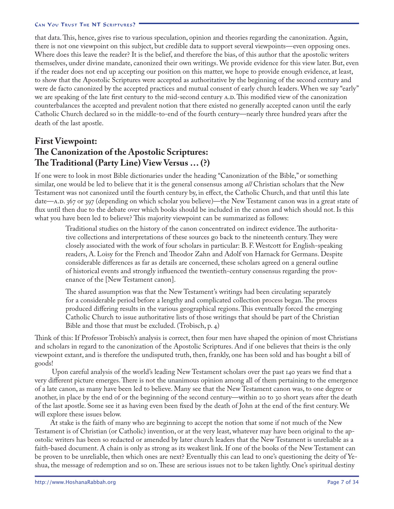that data. This, hence, gives rise to various speculation, opinion and theories regarding the canonization. Again, there is not one viewpoint on this subject, but credible data to support several viewpoints—even opposing ones. Where does this leave the reader? It is the belief, and therefore the bias, of this author that the apostolic writers themselves, under divine mandate, canonized their own writings. We provide evidence for this view later. But, even if the reader does not end up accepting our position on this matter, we hope to provide enough evidence, at least, to show that the Apostolic Scriptures were accepted as authoritative by the beginning of the second century and were de facto canonized by the accepted practices and mutual consent of early church leaders. When we say "early" we are speaking of the late first century to the mid-second century A.D. This modified view of the canonization counterbalances the accepted and prevalent notion that there existed no generally accepted canon until the early Catholic Church declared so in the middle-to-end of the fourth century—nearly three hundred years after the death of the last apostle.

# **First Viewpoint: The Canonization of the Apostolic Scriptures: The Traditional (Party Line) View Versus … (?)**

If one were to look in most Bible dictionaries under the heading "Canonization of the Bible," or something similar, one would be led to believe that it is the general consensus among *all* Christian scholars that the New Testament was not canonized until the fourth century by, in effect, the Catholic Church, and that until this late date—A.D. 367 or 397 (depending on which scholar you believe)—the New Testament canon was in a great state of flux until then due to the debate over which books should be included in the canon and which should not. Is this what you have been led to believe? This majority viewpoint can be summarized as follows:

Traditional studies on the history of the canon concentrated on indirect evidence. The authoritative collections and interpretations of these sources go back to the nineteenth century. They were closely associated with the work of four scholars in particular: B. F. Westcott for English-speaking readers, A. Loisy for the French and Theodor Zahn and Adolf von Harnack for Germans. Despite considerable differences as far as details are concerned, these scholars agreed on a general outline of historical events and strongly influenced the twentieth-century consensus regarding the provenance of the [New Testament canon].

The shared assumption was that the New Testament's writings had been circulating separately for a considerable period before a lengthy and complicated collection process began. The process produced differing results in the various geographical regions. This eventually forced the emerging Catholic Church to issue authoritative lists of those writings that should be part of the Christian Bible and those that must be excluded. (Trobisch, p. 4)

Think of this: If Professor Trobisch's analysis is correct, then four men have shaped the opinion of most Christians and scholars in regard to the canonization of the Apostolic Scriptures. And if one believes that theirs is the only viewpoint extant, and is therefore the undisputed truth, then, frankly, one has been sold and has bought a bill of goods!

 Upon careful analysis of the world's leading New Testament scholars over the past 140 years we find that a very different picture emerges. There is not the unanimous opinion among all of them pertaining to the emergence of a late canon, as many have been led to believe. Many see that the New Testament canon was, to one degree or another, in place by the end of or the beginning of the second century—within 20 to 30 short years after the death of the last apostle. Some see it as having even been fixed by the death of John at the end of the first century. We will explore these issues below.

At stake is the faith of many who are beginning to accept the notion that some if not much of the New Testament is of Christian (or Catholic) invention, or at the very least, whatever may have been original to the apostolic writers has been so redacted or amended by later church leaders that the New Testament is unreliable as a faith-based document. A chain is only as strong as its weakest link. If one of the books of the New Testament can be proven to be unreliable, then which ones are next? Eventually this can lead to one's questioning the deity of Yeshua, the message of redemption and so on. These are serious issues not to be taken lightly. One's spiritual destiny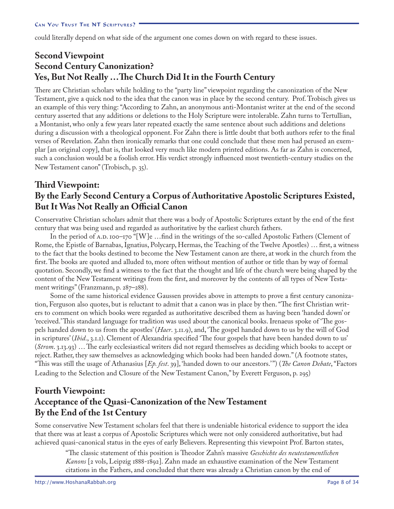could literally depend on what side of the argument one comes down on with regard to these issues.

# **Second Viewpoint Second Century Canonization? Yes, But Not Really …The Church Did It in the Fourth Century**

There are Christian scholars while holding to the "party line" viewpoint regarding the canonization of the New Testament, give a quick nod to the idea that the canon was in place by the second century. Prof. Trobisch gives us an example of this very thing: "According to Zahn, an anonymous anti-Montanist writer at the end of the second century asserted that any additions or deletions to the Holy Scripture were intolerable. Zahn turns to Tertullian, a Montanist, who only a few years later repeated exactly the same sentence about such additions and deletions during a discussion with a theological opponent. For Zahn there is little doubt that both authors refer to the final verses of Revelation. Zahn then ironically remarks that one could conclude that these men had perused an exemplar [an original copy], that is, that looked very much like modern printed editions. As far as Zahn is concerned, such a conclusion would be a foolish error. His verdict strongly influenced most twentieth-century studies on the New Testament canon" (Trobisch, p. 35).

# **Third Viewpoint: By the Early Second Century a Corpus of Authoritative Apostolic Scriptures Existed, But It Was Not Really an Official Canon**

Conservative Christian scholars admit that there was a body of Apostolic Scriptures extant by the end of the first century that was being used and regarded as authoritative by the earliest church fathers.

In the period of A.D. 100–170 "[W]e ...find in the writings of the so-called Apostolic Fathers (Clement of Rome, the Epistle of Barnabas, Ignatius, Polycarp, Hermas, the Teaching of the Twelve Apostles) … first, a witness to the fact that the books destined to become the New Testament canon are there, at work in the church from the first. The books are quoted and alluded to, more often without mention of author or title than by way of formal quotation. Secondly, we find a witness to the fact that the thought and life of the church were being shaped by the content of the New Testament writings from the first, and moreover by the contents of all types of New Testament writings" (Franzmann, p.  $287-288$ ).

Some of the same historical evidence Gaussen provides above in attempts to prove a first century canonization, Ferguson also quotes, but is reluctant to admit that a canon was in place by then. "The first Christian writers to comment on which books were regarded as authoritative described them as having been 'handed down' or 'received.' This standard language for tradition was used about the canonical books. Irenaeus spoke of 'The gospels handed down to us from the apostles' (*Haer*. 3.11.9), and, 'The gospel handed down to us by the will of God in scriptures' (*Ibid.*, 3.1.1). Clement of Alexandria specified 'The four gospels that have been handed down to us' (*Strom.* 3.13.93) ... The early ecclesiastical writers did not regard themselves as deciding which books to accept or reject. Rather, they saw themselves as acknowledging which books had been handed down." (A footnote states, "This was still the usage of Athanasius [*Ep. fest.* 39], 'handed down to our ancestors.'") (*The Canon Debate*, "Factors Leading to the Selection and Closure of the New Testament Canon," by Everett Ferguson, p. 295)

# **Fourth Viewpoint: Acceptance of the Quasi-Canonization of the New Testament By the End of the 1st Century**

Some conservative New Testament scholars feel that there is undeniable historical evidence to support the idea that there was at least a corpus of Apostolic Scriptures which were not only considered authoritative, but had achieved quasi-canonical status in the eyes of early Believers. Representing this viewpoint Prof. Barton states,

"The classic statement of this position is Theodor Zahn's massive *Geschichte des neutestamentlichen Kanons* [2 vols, Leipzig 1888-1892]. Zahn made an exhaustive examination of the New Testament citations in the Fathers, and concluded that there was already a Christian canon by the end of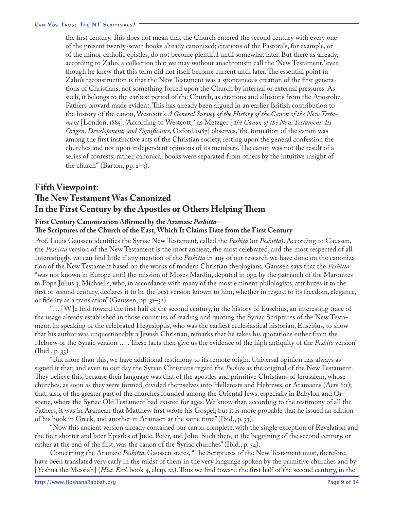the first century. This does not mean that the Church entered the second century with every one of the present twenty-seven books already canonized; citations of the Pastorals, for example, or of the minor catholic epistles, do not become plentiful until somewhat later. But there as already, according to Zahn, a collection that we may without anachronism call the 'New Testament,' even though he knew that this term did not itself become current until later. The essential point in Zahn's reconstruction is that the New Testament was a spontaneous creation of the first generations of Christians, not something forced upon the Church by internal or external pressures. As such, it belongs to the earliest period of the Church, as citations and allusions from the Apostolic Fathers onward made evident. This has already been argued in an earlier British contribution to the history of the canon, Westcott's *A General Survey of the History of the Canon of the New Testament* [London, 1885]. 'According to Westcott, ' as Metzger [*The Canon of the New Testament: Its Origen, Development, and Significance*, Oxford 1987] observes, 'the formation of the canon was among the first instinctive acts of the Christian society, resting upon the general confession the churches and not upon independent opinions of its members. The canon was not the result of a series of contests; rather, canonical books were separated from others by the intuitive insight of the church" (Barton, pp.  $2-3$ ).

# **Fifth Viewpoint: The New Testament Was Canonized In the First Century by the Apostles or Others Helping Them**

### **First Century Canonization Affirmed by the Aramaic** *Peshitta***—**

#### **The Scriptures of the Church of the East, Which It Claims Date from the First Century**

Prof. Louis Gaussen identifies the Syriac New Testament, called the *Peshito* (or *Peshitta*). According to Gaussen, the *Peshitta* version of the New Testament is the most ancient, the most celebrated, and the most respected of all. Interestingly, we can find little if any mention of the *Peshitta* in any of our research we have done on the canonization of the New Testament based on the works of modern Christian theologians. Gaussen says that the *Peshitta* "was not known in Europe until the mission of Moses Mardin, deputed in 1552 by the patriarch of the Maronites to Pope Julius . Michaelis, who, in accordance with many of the most eminent philologists, attributes it to the first or second century, declares it to be the best version known to him, whether in regard to its freedom, elegance, or fidelity as a translation" (Gaussen, pp.  $31-32$ ).

"… [W]e find toward the first half of the second century, in the history of Eusebius, an interesting trace of the usage already established in those countries of reading and quoting the Syriac Scriptures of the New Testament. In speaking of the celebrated Hegesippus, who was the earliest ecclesiastical historian, Eusebius, to show that his author was unquestionably a Jewish Christian, remarks that he takes his quotations either from the Hebrew or the Syraic version … . These facts then give us the evidence of the high antiquity of the *Peshito* version"  $(Ibid., p. 33).$ 

"But more than this, we have additional testimony to its remote origin. Universal opinion has always assigned it that; and even to our day the Syrian Christians regard the *Peshito* as the original of the New Testament. They believe this, because their language was that of the apostles and primitive Christians of Jerusalem, whose churches, as soon as they were formed, divided themselves into Hellenists and Hebrews, or Aramaens (Acts 6:1); that, also, of the greater part of the churches founded among the Oriental Jews, especially in Babylon and Orsoene, where the Syriac Old Testament had existed for ages. We know that, according to the testimony of all the Fathers, it was in Aramean that Matthew first wrote his Gospel; but it is more probable that he issued an edition of his book in Greek, and another in Aramaen at the same time" (Ibid., p. 33).

"Now this ancient version already contained our canon complete, with the single exception of Revelation and the four shorter and later Epistles of Jude, Peter, and John. Such then, at the beginning of the second century, or rather at the end of the first, was the canon of the Syriac churches" (Ibid., p. 34).

Concerning the Aramaic *Peshitta*, Gaussen states, "The Scriptures of the New Testament must, therefore, have been translated very early in the midst of them in the very language spoken by the primitive churches and by [Yeshua the Messiah] (*Hist. Eccl.* book 4, chap. 22). Thus we find toward the first half of the second century, in the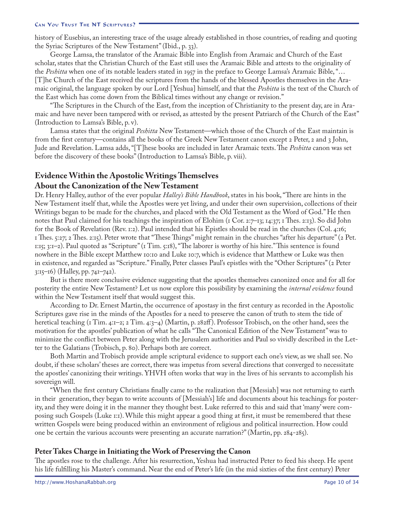history of Eusebius, an interesting trace of the usage already established in those countries, of reading and quoting the Syriac Scriptures of the New Testament" (Ibid., p. 33).

George Lamsa, the translator of the Aramaic Bible into English from Aramaic and Church of the East scholar, states that the Christian Church of the East still uses the Aramaic Bible and attests to the originality of the *Peshitta* when one of its notable leaders stated in 1957 in the preface to George Lamsa's Aramaic Bible, "... [T]he Church of the East received the scriptures from the hands of the blessed Apostles themselves in the Aramaic original, the language spoken by our Lord [Yeshua] himself, and that the *Peshitta* is the text of the Church of the East which has come down from the Biblical times without any change or revision."

"The Scriptures in the Church of the East, from the inception of Christianity to the present day, are in Aramaic and have never been tampered with or revised, as attested by the present Patriarch of the Church of the East" (Introduction to Lamsa's Bible, p. v).

Lamsa states that the original *Peshitta* New Testament—which those of the Church of the East maintain is from the first century—contains all the books of the Greek New Testament canon except  $\alpha$  Peter,  $\alpha$  and  $\beta$  John, Jude and Revelation. Lamsa adds, "[T]hese books are included in later Aramaic texts. The *Peshitta* canon was set before the discovery of these books" (Introduction to Lamsa's Bible, p. viii).

### **Evidence Within the Apostolic Writings Themselves About the Canonization of the New Testament**

Dr. Henry Halley, author of the ever popular *Halley's Bible Handbook*, states in his book, "There are hints in the New Testament itself that, while the Apostles were yet living, and under their own supervision, collections of their Writings began to be made for the churches, and placed with the Old Testament as the Word of God." He then notes that Paul claimed for his teachings the inspiration of Elohim (1 Cor. 2:7–13; 14:37; 1 Thes. 2:13). So did John for the Book of Revelation (Rev. 1:2). Paul intended that his Epistles should be read in the churches (Col. 4:16; 1 Thes. 5:27; 2 Thes. 2:15). Peter wrote that "These Things" might remain in the churches "after his departure" (2 Pet. 1:15; 3:1–2). Paul quoted as "Scripture" (1 Tim. 5:18), "The laborer is worthy of his hire." This sentence is found nowhere in the Bible except Matthew 10:10 and Luke 10:7, which is evidence that Matthew or Luke was then in existence, and regarded as "Scripture." Finally, Peter classes Paul's epistles with the "Other Scriptures" (2 Peter 3:15–16) (Halley, pp. 741–742).

But is there more conclusive evidence suggesting that the apostles themselves canonized once and for all for posterity the entire New Testament? Let us now explore this possibility by examining the *internal evidence* found within the New Testament itself that would suggest this.

According to Dr. Ernest Martin, the occurrence of apostasy in the first century as recorded in the Apostolic Scriptures gave rise in the minds of the Apostles for a need to preserve the canon of truth to stem the tide of heretical teaching (1 Tim. 4:1–2; 2 Tim. 4:3–4) (Martin, p. 282ff). Professor Trobisch, on the other hand, sees the motivation for the apostles' publication of what he calls "The Canonical Edition of the New Testament" was to minimize the conflict between Peter along with the Jerusalem authorities and Paul so vividly described in the Letter to the Galatians (Trobisch, p. 80). Perhaps both are correct.

Both Martin and Trobisch provide ample scriptural evidence to support each one's view, as we shall see. No doubt, if these scholars' theses are correct, there was impetus from several directions that converged to necessitate the apostles' canonizing their writings. YHVH often works that way in the lives of his servants to accomplish his sovereign will.

"When the first century Christians finally came to the realization that [Messiah] was not returning to earth in their generation, they began to write accounts of [Messiah's] life and documents about his teachings for posterity, and they were doing it in the manner they thought best. Luke referred to this and said that 'many' were composing such Gospels (Luke 1:1). While this might appear a good thing at first, it must be remembered that these written Gospels were being produced within an environment of religious and political insurrection. How could one be certain the various accounts were presenting an accurate narration?" (Martin, pp. 284-285).

### **Peter Takes Charge in Initiating the Work of Preserving the Canon**

The apostles rose to the challenge. After his resurrection, Yeshua had instructed Peter to feed his sheep. He spent his life fulfilling his Master's command. Near the end of Peter's life (in the mid sixties of the first century) Peter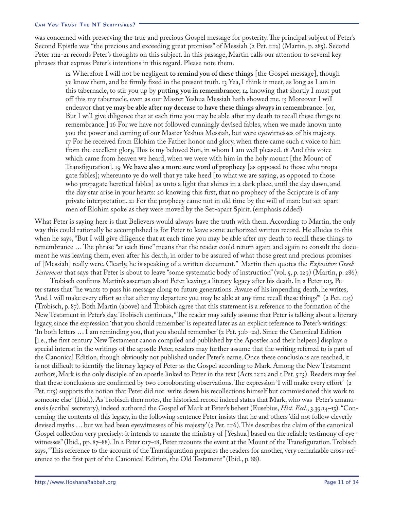was concerned with preserving the true and precious Gospel message for posterity. The principal subject of Peter's Second Epistle was "the precious and exceeding great promises" of Messiah (2 Pet. 1:12) (Martin, p. 285). Second Peter 1:12-21 records Peter's thoughts on this subject. In this passage, Martin calls our attention to several key phrases that express Peter's intentions in this regard. Please note them.

12 Wherefore I will not be negligent **to remind you of these things** [the Gospel message], though ye know them, and be firmly fixed in the present truth. 13 Yea, I think it meet, as long as I am in this tabernacle, to stir you up by **putting you in remembrance**; 14 knowing that shortly I must put off this my tabernacle, even as our Master Yeshua Messiah hath showed me. 15 Moreover I will endeavor **that ye may be able after my decease to have these things always in remembrance**. [or, But I will give diligence that at each time you may be able after my death to recall these things to remembrance.] 16 For we have not followed cunningly devised fables, when we made known unto you the power and coming of our Master Yeshua Messiah, but were eyewitnesses of his majesty. 17 For he received from Elohim the Father honor and glory, when there came such a voice to him from the excellent glory, This is my beloved Son, in whom I am well pleased. 18 And this voice which came from heaven we heard, when we were with him in the holy mount [the Mount of Transfiguration]. 19 **We have also a more sure word of prophecy** [as opposed to those who propagate fables]; whereunto ye do well that ye take heed [to what we are saying, as opposed to those who propagate heretical fables] as unto a light that shines in a dark place, until the day dawn, and the day star arise in your hearts: 20 knowing this first, that no prophecy of the Scripture is of any private interpretation. 21 For the prophecy came not in old time by the will of man: but set-apart men of Elohim spoke as they were moved by the Set-apart Spirit. (emphasis added)

What Peter is saying here is that Believers would always have the truth with them. According to Martin, the only way this could rationally be accomplished is for Peter to leave some authorized written record. He alludes to this when he says, "But I will give diligence that at each time you may be able after my death to recall these things to remembrance … The phrase "at each time" means that the reader could return again and again to consult the document he was leaving them, even after his death, in order to be assured of what those great and precious promises of [Messiah] really were. Clearly, he is speaking of a written document." Martin then quotes the *Expositors Greek Testament* that says that Peter is about to leave "some systematic body of instruction" (vol. 5, p. 129) (Martin, p. 286).

Trobisch confirms Martin's assertion about Peter leaving a literary legacy after his death. In 2 Peter 1:15, Peter states that "he wants to pass his message along to future generations. Aware of his impending death, he writes, 'And I will make every effort so that after my departure you may be able at any time recall these things'" (2 Pet. 1:15) (Trobisch, p. 87). Both Martin (above) and Trobisch agree that this statement is a reference to the formation of the New Testament in Peter's day. Trobisch continues, "The reader may safely assume that Peter is talking about a literary legacy, since the expression 'that you should remember' is repeated later as an explicit reference to Peter's writings: 'In both letters … I am reminding you, that you should remember' (2 Pet. 3:1b–2a). Since the Canonical Edition [i.e., the first century New Testament canon compiled and published by the Apostles and their helpers] displays a special interest in the writings of the apostle Peter, readers may further assume that the writing referred to is part of the Canonical Edition, though obviously not published under Peter's name. Once these conclusions are reached, it is not difficult to identify the literary legacy of Peter as the Gospel according to Mark. Among the New Testament authors, Mark is the only disciple of an apostle linked to Peter in the text (Acts 12:12 and 1 Pet. 5:13). Readers may feel that these conclusions are confirmed by two corroborating observations. The expression 'I will make every effort' (2 Pet. 1:15) supports the notion that Peter did not write down his recollections himself but commissioned this work to someone else" (Ibid.). As Trobisch then notes, the historical record indeed states that Mark, who was Peter's amanuensis (scribal secretary), indeed authored the Gospel of Mark at Peter's behest (Eusebius, *Hist. Eccl*., 3.39.14–15). "Concerning the contents of this legacy, in the following sentence Peter insists that he and others 'did not follow cleverly devised myths … but we had been eyewitnesses of his majesty' (2 Pet. 1:16). This describes the claim of the canonical Gospel collection very precisely: it intends to narrate the ministry of [Yeshua] based on the reliable testimony of eyewitnesses" (Ibid., pp. 87–88). In 2 Peter 1:17–18, Peter recounts the event at the Mount of the Transfiguration. Trobisch says, "This reference to the account of the Transfiguration prepares the readers for another, very remarkable cross-reference to the first part of the Canonical Edition, the Old Testament" (Ibid., p. 88).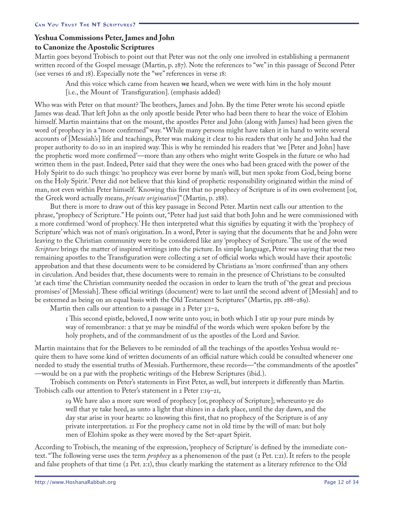### **Yeshua Commissions Peter, James and John to Canonize the Apostolic Scriptures**

Martin goes beyond Trobisch to point out that Peter was not the only one involved in establishing a permanent written record of the Gospel message (Martin, p. 287). Note the references to "we" in this passage of Second Peter (see verses 16 and 18). Especially note the "we" references in verse 18:

And this voice which came from heaven **we** heard, when we were with him in the holy mount [i.e., the Mount of Transfiguration]. (emphasis added)

Who was with Peter on that mount? The brothers, James and John. By the time Peter wrote his second epistle James was dead. That left John as the only apostle beside Peter who had been there to hear the voice of Elohim himself. Martin maintains that on the mount, the apostles Peter and John (along with James) had been given the word of prophecy in a "more confirmed" way. "While many persons might have taken it in hand to write several accounts of [Messiah's] life and teachings, Peter was making it clear to his readers that only he and John had the proper authority to do so in an inspired way. This is why he reminded his readers that 'we [Peter and John] have the prophetic word more confirmed'—more than any others who might write Gospels in the future or who had written them in the past. Indeed, Peter said that they were the ones who had been graced with the power of the Holy Spirit to do such things: 'no prophecy was ever borne by man's will, but men spoke from God, being borne on the Holy Spirit.' Peter did not believe that this kind of prophetic responsibility originated within the mind of man, not even within Peter himself. 'Knowing this first that no prophecy of Scripture is of its own evolvement [or, the Greek word actually means, *private origination*]" (Martin, p. 288).

But there is more to draw out of this key passage in Second Peter. Martin next calls our attention to the phrase, "prophecy of Scripture." He points out, "Peter had just said that both John and he were commissioned with a more confirmed 'word of prophecy.' He then interpreted what this signifies by equating it with the 'prophecy of Scripture' which was not of man's origination. In a word, Peter is saying that the documents that he and John were leaving to the Christian community were to be considered like any 'prophecy of Scripture.' The use of the word *Scripture* brings the matter of inspired writings into the picture. In simple language, Peter was saying that the two remaining apostles to the Transfiguration were collecting a set of official works which would have their apostolic approbation and that these documents were to be considered by Christians as 'more confirmed' than any others in circulation. And besides that, these documents were to remain in the presence of Christians to be consulted 'at each time' the Christian community needed the occasion in order to learn the truth of 'the great and precious promises' of [Messiah]. These official writings (document) were to last until the second advent of [Messiah] and to be esteemed as being on an equal basis with the Old Testament Scriptures" (Martin, pp. 288–289).

Martin then calls our attention to a passage in 2 Peter  $3:1-2$ ,

I This second epistle, beloved, I now write unto you; in both which I stir up your pure minds by way of remembrance: 2 that ye may be mindful of the words which were spoken before by the holy prophets, and of the commandment of us the apostles of the Lord and Savior.

Martin maintains that for the Believers to be reminded of all the teachings of the apostles Yeshua would require them to have some kind of written documents of an official nature which could be consulted whenever one needed to study the essential truths of Messiah. Furthermore, these records—"the commandments of the apostles" —would be on a par with the prophetic writings of the Hebrew Scriptures (ibid.).

Trobisch comments on Peter's statements in First Peter, as well, but interprets it differently than Martin. Trobisch calls our attention to Peter's statement in 2 Peter 1:19–21,

19 We have also a more sure word of prophecy [or, prophecy of Scripture]; whereunto ye do well that ye take heed, as unto a light that shines in a dark place, until the day dawn, and the day star arise in your hearts: 20 knowing this first, that no prophecy of the Scripture is of any private interpretation. 21 For the prophecy came not in old time by the will of man: but holy men of Elohim spoke as they were moved by the Set-apart Spirit.

According to Trobisch, the meaning of the expression, 'prophecy of Scripture' is defined by the immediate context. "The following verse uses the term *prophecy* as a phenomenon of the past (2 Pet. 1:21). It refers to the people and false prophets of that time (2 Pet. 2:1), thus clearly marking the statement as a literary reference to the Old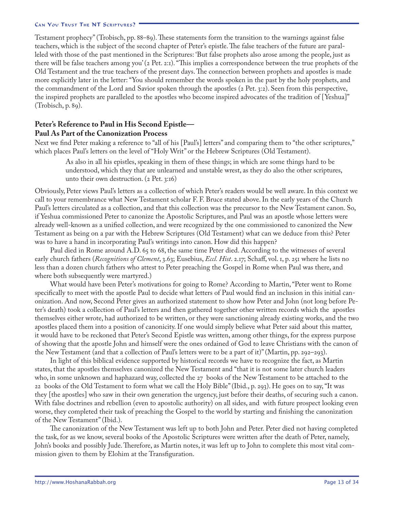Testament prophecy" (Trobisch, pp. 88–89). These statements form the transition to the warnings against false teachers, which is the subject of the second chapter of Peter's epistle. The false teachers of the future are paralleled with those of the past mentioned in the Scriptures: 'But false prophets also arose among the people, just as there will be false teachers among you' (2 Pet. 2:1). "This implies a correspondence between the true prophets of the Old Testament and the true teachers of the present days. The connection between prophets and apostles is made more explicitly later in the letter: "You should remember the words spoken in the past by the holy prophets, and the commandment of the Lord and Savior spoken through the apostles (2 Pet. 3:2). Seen from this perspective, the inspired prophets are paralleled to the apostles who become inspired advocates of the tradition of [Yeshua]" (Trobisch, p. 89).

### **Peter's Reference to Paul in His Second Epistle— Paul As Part of the Canonization Process**

Next we find Peter making a reference to "all of his [Paul's] letters" and comparing them to "the other scriptures," which places Paul's letters on the level of "Holy Writ" or the Hebrew Scriptures (Old Testament).

As also in all his epistles, speaking in them of these things; in which are some things hard to be understood, which they that are unlearned and unstable wrest, as they do also the other scriptures, unto their own destruction. (2 Pet. 3:16)

Obviously, Peter views Paul's letters as a collection of which Peter's readers would be well aware. In this context we call to your remembrance what New Testament scholar F. F. Bruce stated above. In the early years of the Church Paul's letters circulated as a collection, and that this collection was the precursor to the New Testament canon. So, if Yeshua commissioned Peter to canonize the Apostolic Scriptures, and Paul was an apostle whose letters were already well-known as a unified collection, and were recognized by the one commissioned to canonized the New Testament as being on a par with the Hebrew Scriptures (Old Testament) what can we deduce from this? Peter was to have a hand in incorporating Paul's writings into canon. How did this happen?

Paul died in Rome around A.D. 65 to 68, the same time Peter died. According to the witnesses of several early church fathers (*Recognitions of Clement*, 3.63; Eusebius, *Eccl. Hist*. 2.17; Schaff, vol. 1, p. 251 where he lists no less than a dozen church fathers who attest to Peter preaching the Gospel in Rome when Paul was there, and where both subsequently were martyred.)

What would have been Peter's motivations for going to Rome? According to Martin, "Peter went to Rome specifically to meet with the apostle Paul to decide what letters of Paul would find an inclusion in this initial canonization. And now, Second Peter gives an authorized statement to show how Peter and John (not long before Peter's death) took a collection of Paul's letters and then gathered together other written records which the apostles themselves either wrote, had authorized to be written, or they were sanctioning already existing works, and the two apostles placed them into a position of canonicity. If one would simply believe what Peter said about this matter, it would have to be reckoned that Peter's Second Epistle was written, among other things, for the express purpose of showing that the apostle John and himself were the ones ordained of God to leave Christians with the canon of the New Testament (and that a collection of Paul's letters were to be a part of it)" (Martin, pp. 292–293).

In light of this biblical evidence supported by historical records we have to recognize the fact, as Martin states, that the apostles themselves canonized the New Testament and "that it is not some later church leaders who, in some unknown and haphazard way, collected the 27 books of the New Testament to be attached to the 22 books of the Old Testament to form what we call the Holy Bible" (Ibid., p. 293). He goes on to say, "It was they [the apostles] who saw in their own generation the urgency, just before their deaths, of securing such a canon. With false doctrines and rebellion (even to apostolic authority) on all sides, and with future prospect looking even worse, they completed their task of preaching the Gospel to the world by starting and finishing the canonization of the New Testament" (Ibid.).

The canonization of the New Testament was left up to both John and Peter. Peter died not having completed the task, for as we know, several books of the Apostolic Scriptures were written after the death of Peter, namely, John's books and possibly Jude. Therefore, as Martin notes, it was left up to John to complete this most vital commission given to them by Elohim at the Transfiguration.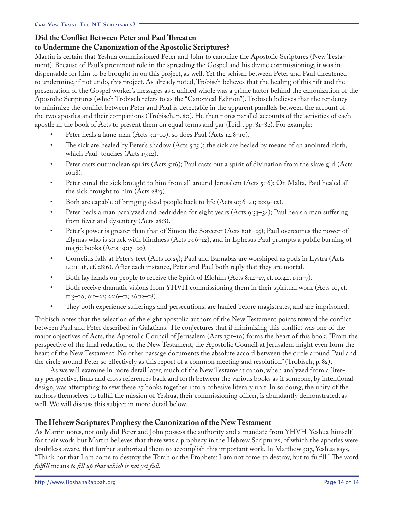### **Did the Conflict Between Peter and Paul Threaten to Undermine the Canonization of the Apostolic Scriptures?**

Martin is certain that Yeshua commissioned Peter and John to canonize the Apostolic Scriptures (New Testament). Because of Paul's prominent role in the spreading the Gospel and his divine commissioning, it was indispensable for him to be brought in on this project, as well. Yet the schism between Peter and Paul threatened to undermine, if not undo, this project. As already noted, Trobisch believes that the healing of this rift and the presentation of the Gospel worker's messages as a unified whole was a prime factor behind the canonization of the Apostolic Scriptures (which Trobisch refers to as the "Canonical Edition"). Trobisch believes that the tendency to minimize the conflict between Peter and Paul is detectable in the apparent parallels between the account of the two apostles and their companions (Trobisch, p. 80). He then notes parallel accounts of the activities of each apostle in the book of Acts to present them on equal terms and par (Ibid., pp. 81–82). For example:

- Peter heals a lame man (Acts 3:1-10); so does Paul (Acts 14:8-10). •
- The sick are healed by Peter's shadow (Acts 5:15 ); the sick are healed by means of an anointed cloth, which Paul touches (Acts 19:12). •
- Peter casts out unclean spirits (Acts 5:16); Paul casts out a spirit of divination from the slave girl (Acts 16:18). •
- Peter cured the sick brought to him from all around Jerusalem (Acts 5:16); On Malta, Paul healed all the sick brought to him (Acts 28:9). •
- Both are capable of bringing dead people back to life (Acts 9:36–41; 20:9–12). •
- Peter heals a man paralyzed and bedridden for eight years (Acts 9:33–34); Paul heals a man suffering from fever and dysentery (Acts 28:8). •
- Peter's power is greater than that of Simon the Sorcerer (Acts 8:18–25); Paul overcomes the power of Elymas who is struck with blindness (Acts 13:6–12), and in Ephesus Paul prompts a public burning of magic books (Acts 19:17–20). •
- Cornelius falls at Peter's feet (Acts 10:25); Paul and Barnabas are worshiped as gods in Lystra (Acts 14:11–18, cf. 28:6). After each instance, Peter and Paul both reply that they are mortal. •
- Both lay hands on people to receive the Spirit of Elohim (Acts  $8:14-17$ , cf. 10:44; 19:1-7). •
- Both receive dramatic visions from YHVH commissioning them in their spiritual work (Acts 10, cf. 11:5–10; 9:1–22; 22:6–11; 26:12–18). •
- They both experience sufferings and persecutions, are hauled before magistrates, and are imprisoned. •

Trobisch notes that the selection of the eight apostolic authors of the New Testament points toward the conflict between Paul and Peter described in Galatians. He conjectures that if minimizing this conflict was one of the major objectives of Acts, the Apostolic Council of Jerusalem (Acts 15:1–19) forms the heart of this book. "From the perspective of the final redaction of the New Testament, the Apostolic Council at Jerusalem might even form the heart of the New Testament. No other passage documents the absolute accord between the circle around Paul and the circle around Peter so effectively as this report of a common meeting and resolution" (Trobisch, p. 82).

As we will examine in more detail later, much of the New Testament canon, when analyzed from a literary perspective, links and cross references back and forth between the various books as if someone, by intentional design, was attempting to sew these 27 books together into a cohesive literary unit. In so doing, the unity of the authors themselves to fulfill the mission of Yeshua, their commissioning officer, is abundantly demonstrated, as well. We will discuss this subject in more detail below.

### **The Hebrew Scriptures Prophesy the Canonization of the New Testament**

As Martin notes, not only did Peter and John possess the authority and a mandate from YHVH-Yeshua himself for their work, but Martin believes that there was a prophecy in the Hebrew Scriptures, of which the apostles were doubtless aware, that further authorized them to accomplish this important work. In Matthew 5:17, Yeshua says, "Think not that I am come to destroy the Torah or the Prophets: I am not come to destroy, but to fulfill." The word *fulfill* means *to fill up that which is not yet full*.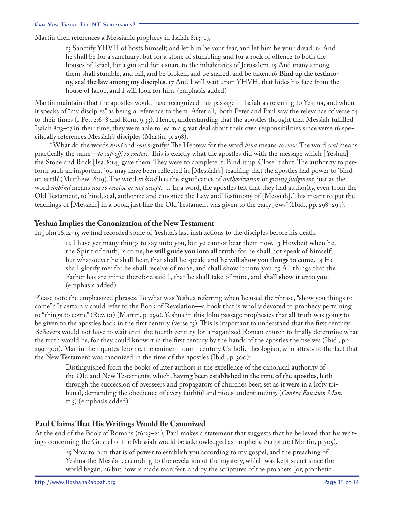Martin then references a Messianic prophecy in Isaiah 8:13-17,

13 Sanctify YHVH of hosts himself; and let him be your fear, and let him be your dread. 14 And he shall be for a sanctuary; but for a stone of stumbling and for a rock of offence to both the houses of Israel, for a gin and for a snare to the inhabitants of Jerusalem. 15 And many among them shall stumble, and fall, and be broken, and be snared, and be taken. 16 **Bind up the testimony, seal the law among my disciples**. 17 And I will wait upon YHVH, that hides his face from the house of Jacob, and I will look for him. (emphasis added)

Martin maintains that the apostles would have recognized this passage in Isaiah as referring to Yeshua, and when it speaks of "my disciples" as being a reference to them. After all, both Peter and Paul saw the relevance of verse 14 to their times (1 Pet. 2:6–8 and Rom. 9:33). Hence, understanding that the apostles thought that Messiah fulfilled Isaiah 8:13–17 in their time, they were able to learn a great deal about their own responsibilities since verse 16 specifically references Messiah's disciples (Martin, p. 298).

"What do the words *bind* and *seal* signify? The Hebrew for the word *bind* means *to close*. The word *seal* means practically the same—*to cap off, to enclose*. This is exactly what the apostles did with the message which [Yeshua] the Stone and Rock [Isa. 8:14] gave them. They were to complete it. Bind it up. Close it shut. The authority to perform such an important job may have been reflected in [Messiah's] teaching that the apostles had power to 'bind on earth' (Matthew 16:19). The word *to bind* has the significance of *authorization* or *giving judgment*, just as the word *unbind* means *not to receive or not accept*. … In a word, the apostles felt that they had authority, even from the Old Testament, to bind, seal, authorize and canonize the Law and Testimony of [Messiah]. This meant to put the teachings of [Messiah] in a book, just like the Old Testament was given to the early Jews" (Ibid., pp. 298–299).

### **Yeshua Implies the Canonization of the New Testament**

In John 16:12–15 we find recorded some of Yeshua's last instructions to the disciples before his death:

12 I have yet many things to say unto you, but ye cannot bear them now. 13 Howbeit when he, the Spirit of truth, is come, **he will guide you into all truth**: for he shall not speak of himself; but whatsoever he shall hear, that shall he speak: and **he will show you things to come**. 14 He shall glorify me: for he shall receive of mine, and shall show it unto you. 15 All things that the Father has are mine: therefore said I, that he shall take of mine, and **shall show it unto you**. (emphasis added)

Please note the emphasized phrases. To what was Yeshua referring when he used the phrase, "show you things to come"? It certainly could refer to the Book of Revelation—a book that is wholly devoted to prophecy pertaining to "things to come" (Rev. 1:1) (Martin, p. 299). Yeshua in this John passage prophesies that all truth was going to be given to the apostles back in the first century (verse 13). This is important to understand that the first century Believers would not have to wait until the fourth century for a paganized Roman church to finally determine what the truth would be, for they could know it in the first century by the hands of the apostles themselves (Ibid., pp. 299–300). Martin then quotes Jerome, the eminent fourth century Catholic theologian, who attests to the fact that the New Testament was canonized in the time of the apostles (Ibid., p. 300):

Distinguished from the books of later authors is the excellence of the canonical authority of the Old and New Testaments; which, **having been established in the time of the apostles**, hath through the succession of overseers and propagators of churches been set as it were in a lofty tribunal, demanding the obedience of every faithful and pious understanding. (*Contra Faustum Man*. 11.5) (emphasis added)

### **Paul Claims That His Writings Would Be Canonized**

At the end of the Book of Romans (16:25–26), Paul makes a statement that suggests that he believed that his writings concerning the Gospel of the Messiah would be acknowledged as prophetic Scripture (Martin, p. 305).

25 Now to him that is of power to establish you according to my gospel, and the preaching of Yeshua the Messiah, according to the revelation of the mystery, which was kept secret since the world began, 26 but now is made manifest, and by the scriptures of the prophets [or, prophetic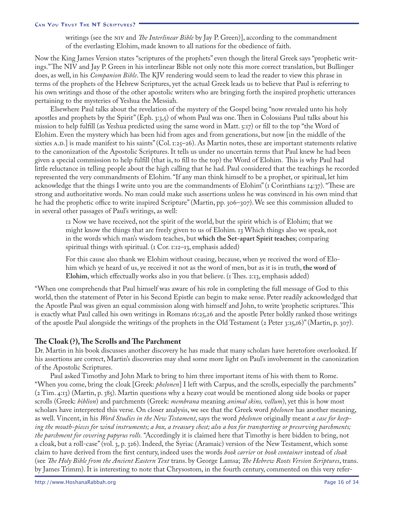writings (see the NIV and *The Interlinear Bible* by Jay P. Green)], according to the commandment of the everlasting Elohim, made known to all nations for the obedience of faith.

Now the King James Version states "scriptures of the prophets" even though the literal Greek says "prophetic writings." The NIV and Jay P. Green in his interlinear Bible not only note this more correct translation, but Bullinger does, as well, in his *Companion Bible*. The KJV rendering would seem to lead the reader to view this phrase in terms of the prophets of the Hebrew Scriptures, yet the actual Greek leads us to believe that Paul is referring to his own writings and those of the other apostolic writers who are bringing forth the inspired prophetic utterances pertaining to the mysteries of Yeshua the Messiah.

Elsewhere Paul talks about the revelation of the mystery of the Gospel being "now revealed unto his holy apostles and prophets by the Spirit" (Eph. 3:3,5) of whom Paul was one. Then in Colossians Paul talks about his mission to help fulfill (as Yeshua predicted using the same word in Matt. 5:17) or fill to the top "the Word of Elohim. Even the mystery which has been hid from ages and from generations, but now [in the middle of the sixties A.D.] is made manifest to his saints" (Col. 1:25–26). As Martin notes, these are important statements relative to the canonization of the Apostolic Scriptures. It tells us under no uncertain terms that Paul knew he had been given a special commission to help fulfill (that is, to fill to the top) the Word of Elohim. This is why Paul had little reluctance in telling people about the high calling that he had. Paul considered that the teachings he recorded represented the very commandments of Elohim. "If any man think himself to be a prophet, or spiritual, let him acknowledge that the things I write unto you are the commandments of Elohim" (1 Corinthians 14:37). "These are strong and authoritative words. No man could make such assertions unless he was convinced in his own mind that he had the prophetic office to write inspired Scripture" (Martin, pp. 306–307). We see this commission alluded to in several other passages of Paul's writings, as well:

12 Now we have received, not the spirit of the world, but the spirit which is of Elohim; that we might know the things that are freely given to us of Elohim. 13 Which things also we speak, not in the words which man's wisdom teaches, but **which the Set-apart Spirit teaches**; comparing spiritual things with spiritual. (1 Cor. 1:12–13, emphasis added)

For this cause also thank we Elohim without ceasing, because, when ye received the word of Elohim which ye heard of us, ye received it not as the word of men, but as it is in truth, **the word of Elohim**, which effectually works also in you that believe. (1 Thes. 2:13, emphasis added)

"When one comprehends that Paul himself was aware of his role in completing the full message of God to this world, then the statement of Peter in his Second Epistle can begin to make sense. Peter readily acknowledged that the Apostle Paul was given an equal commission along with himself and John, to write 'prophetic scriptures.' This is exactly what Paul called his own writings in Romans 16:25,26 and the apostle Peter boldly ranked those writings of the apostle Paul alongside the writings of the prophets in the Old Testament (2 Peter 3:15,16)" (Martin, p. 307).

### **The Cloak (?), The Scrolls and The Parchment**

Dr. Martin in his book discusses another discovery he has made that many scholars have heretofore overlooked. If his assertions are correct, Martin's discoveries may shed some more light on Paul's involvement in the canonization of the Apostolic Scriptures.

Paul asked Timothy and John Mark to bring to him three important items of his with them to Rome. "When you come, bring the cloak [Greek: *phelonen*] I left with Carpus, and the scrolls, especially the parchments" (2 Tim. 4:13) (Martin, p. 385). Martin questions why a heavy coat would be mentioned along side books or paper scrolls (Greek: *biblion*) and parchments (Greek: *membrana* meaning *animal skins, vellum*), yet this is how most scholars have interpreted this verse. On closer analysis, we see that the Greek word *phelonen* has another meaning, as well. Vincent, in his *Word Studies in the New Testament*, says the word *phelonen* originally meant *a case for keeping the mouth-pieces for wind instruments; a box, a treasury chest; also a box for transporting or preserving parchments; the parchment for covering papyrus rolls.* "Accordingly it is claimed here that Timothy is here bidden to bring, not a cloak, but a roll-case" (vol. 3, p. 326). Indeed, the Syriac (Aramaic) version of the New Testament, which some claim to have derived from the first century, indeed uses the words *book carrier* or *book container* instead of *cloak* (see *The Holy Bible from the Ancient Eastern Text* trans. by George Lamsa; *The Hebrew Roots Version Scriptures*, trans. by James Trimm). It is interesting to note that Chrysostom, in the fourth century, commented on this very refer-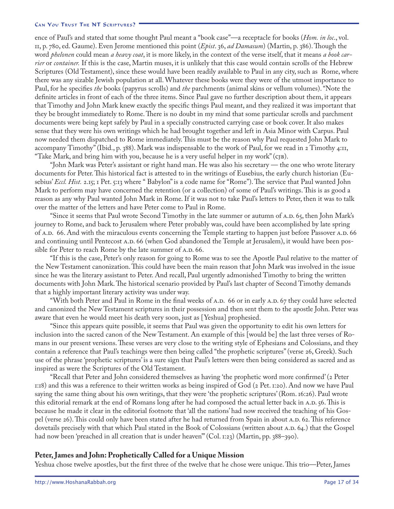ence of Paul's and stated that some thought Paul meant a "book case"—a receptacle for books (*Hom. in loc*., vol. 11, p. 780, ed. Gaume). Even Jerome mentioned this point (*Epist*. 36, *ad Damasum*) (Martin, p. 386). Though the word *phelonen* could mean *a heavy coat*, it is more likely, in the context of the verse itself, that it means *a book carrier* or *container.* If this is the case, Martin muses, it is unlikely that this case would contain scrolls of the Hebrew Scriptures (Old Testament), since these would have been readily available to Paul in any city, such as Rome, where there was any sizable Jewish population at all. Whatever these books were they were of the utmost importance to Paul, for he specifies *the* books (papyrus scrolls) and *the* parchments (animal skins or vellum volumes). "Note the definite articles in front of each of the three items. Since Paul gave no further description about them, it appears that Timothy and John Mark knew exactly the specific things Paul meant, and they realized it was important that they be brought immediately to Rome. There is no doubt in my mind that some particular scrolls and parchment documents were being kept safely by Paul in a specially constructed carrying case or book cover. It also makes sense that they were his own writings which he had brought together and left in Asia Minor with Carpus. Paul now needed them dispatched to Rome immediately. This must be the reason why Paul requested John Mark to accompany Timothy" (Ibid., p. 388). Mark was indispensable to the work of Paul, for we read in 2 Timothy 4:11, "Take Mark, and bring him with you, because he is a very useful helper in my work" (CJB).

"John Mark was Peter's assistant or right hand man. He was also his secretary — the one who wrote literary documents for Peter. This historical fact is attested to in the writings of Eusebius, the early church historian (Eusebius' *Eccl. Hist.* 2.15; 1 Pet. 5:13 where " Babylon" is a code name for "Rome"). The service that Paul wanted John Mark to perform may have concerned the retention (or a collection) of some of Paul's writings. This is as good a reason as any why Paul wanted John Mark in Rome. If it was not to take Paul's letters to Peter, then it was to talk over the matter of the letters and have Peter come to Paul in Rome.

"Since it seems that Paul wrote Second Timothy in the late summer or autumn of A.D. 65, then John Mark's journey to Rome, and back to Jerusalem where Peter probably was, could have been accomplished by late spring of A.D. 66. And with the miraculous events concerning the Temple starting to happen just before Passover A.D. 66 and continuing until Pentecost A.D. 66 (when God abandoned the Temple at Jerusalem), it would have been possible for Peter to reach Rome by the late summer of A.D. 66.

"If this is the case, Peter's only reason for going to Rome was to see the Apostle Paul relative to the matter of the New Testament canonization. This could have been the main reason that John Mark was involved in the issue since he was the literary assistant to Peter. And recall, Paul urgently admonished Timothy to bring the written documents with John Mark. The historical scenario provided by Paul's last chapter of Second Timothy demands that a highly important literary activity was under way.

"With both Peter and Paul in Rome in the final weeks of A.D. 66 or in early A.D. 67 they could have selected and canonized the New Testament scriptures in their possession and then sent them to the apostle John. Peter was aware that even he would meet his death very soon, just as [Yeshua] prophesied.

"Since this appears quite possible, it seems that Paul was given the opportunity to edit his own letters for inclusion into the sacred canon of the New Testament. An example of this [would be] the last three verses of Romans in our present versions. These verses are very close to the writing style of Ephesians and Colossians, and they contain a reference that Paul's teachings were then being called "the prophetic scriptures" (verse 26, Greek). Such use of the phrase 'prophetic scriptures' is a sure sign that Paul's letters were then being considered as sacred and as inspired as were the Scriptures of the Old Testament.

"Recall that Peter and John considered themselves as having 'the prophetic word more confirmed' (2 Peter 1:18) and this was a reference to their written works as being inspired of God (2 Pet. 1:20). And now we have Paul saying the same thing about his own writings, that they were 'the prophetic scriptures' (Rom. 16:26). Paul wrote this editorial remark at the end of Romans long after he had composed the actual letter back in A.D. 56. This is because he made it clear in the editorial footnote that 'all the nations' had now received the teaching of his Gospel (verse 26). This could only have been stated after he had returned from Spain in about A.D. 62. This reference dovetails precisely with that which Paul stated in the Book of Colossians (written about A.D. 64.) that the Gospel had now been 'preached in all creation that is under heaven'" (Col. 1:23) (Martin, pp. 388–390).

### **Peter, James and John: Prophetically Called for a Unique Mission**

Yeshua chose twelve apostles, but the first three of the twelve that he chose were unique. This trio—Peter, James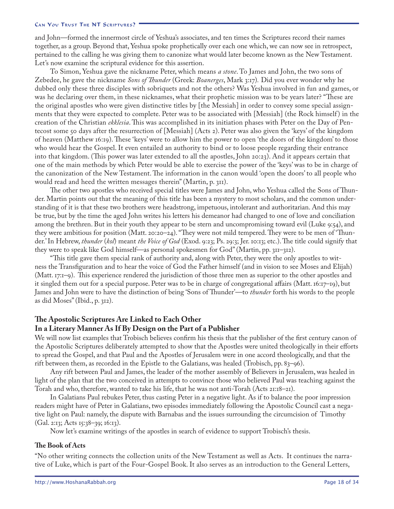and John—formed the innermost circle of Yeshua's associates, and ten times the Scriptures record their names together, as a group. Beyond that, Yeshua spoke prophetically over each one which, we can now see in retrospect, pertained to the calling he was giving them to canonize what would later become known as the New Testament. Let's now examine the scriptural evidence for this assertion.

To Simon, Yeshua gave the nickname Peter, which means *a stone*. To James and John, the two sons of Zebedee, he gave the nickname *Sons of Thunder* (Greek: *Boanerges*, Mark 3:17)*.* Did you ever wonder why he dubbed only these three disciples with sobriquets and not the others? Was Yeshua involved in fun and games, or was he declaring over them, in these nicknames, what their prophetic mission was to be years later? "These are the original apostles who were given distinctive titles by [the Messiah] in order to convey some special assignments that they were expected to complete. Peter was to be associated with [Messiah] (the Rock himself ) in the creation of the Christian *ekklesia*. This was accomplished in its initiation phases with Peter on the Day of Pentecost some 50 days after the resurrection of [Messiah] (Acts 2). Peter was also given the 'keys' of the kingdom of heaven (Matthew 16:19). These 'keys' were to allow him the power to open 'the doors of the kingdom' to those who would hear the Gospel. It even entailed an authority to bind or to loose people regarding their entrance into that kingdom. (This power was later extended to all the apostles, John 20:23). And it appears certain that one of the main methods by which Peter would be able to exercise the power of the 'keys' was to be in charge of the canonization of the New Testament. The information in the canon would 'open the doors' to all people who would read and heed the written messages therein" (Martin, p. 311).

The other two apostles who received special titles were James and John, who Yeshua called the Sons of Thunder. Martin points out that the meaning of this title has been a mystery to most scholars, and the common understanding of it is that these two brothers were headstrong, impetuous, intolerant and authoritarian. And this may be true, but by the time the aged John writes his letters his demeanor had changed to one of love and conciliation among the brethren. But in their youth they appear to be stern and uncompromising toward evil (Luke 9:54), and they were ambitious for position (Matt. 20:20–24). "They were not mild tempered. They were to be men of 'Thunder.' In Hebrew, *thunder* (*kol*) meant *the Voice of God* (Exod. 9:23; Ps. 29:3; Jer. 10:13; etc.). The title could signify that they were to speak like God himself—as personal spokesmen for God" (Martin, pp. 311–312).

"This title gave them special rank of authority and, along with Peter, they were the only apostles to witness the Transfiguration and to hear the voice of God the Father himself (and in vision to see Moses and Elijah) (Matt. 17:1–9). This experience rendered the jurisdiction of those three men as superior to the other apostles and it singled them out for a special purpose. Peter was to be in charge of congregational affairs (Matt. 16:17–19), but James and John were to have the distinction of being 'Sons of Thunder'—to *thunder* forth his words to the people as did Moses" (Ibid., p. 312).

### **The Apostolic Scriptures Are Linked to Each Other In a Literary Manner As If By Design on the Part of a Publisher**

We will now list examples that Trobisch believes confirm his thesis that the publisher of the first century canon of the Apostolic Scriptures deliberately attempted to show that the Apostles were united theologically in their efforts to spread the Gospel, and that Paul and the Apostles of Jerusalem were in one accord theologically, and that the rift between them, as recorded in the Epistle to the Galatians, was healed (Trobisch, pp. 83–96).

Any rift between Paul and James, the leader of the mother assembly of Believers in Jerusalem, was healed in light of the plan that the two conceived in attempts to convince those who believed Paul was teaching against the Torah and who, therefore, wanted to take his life, that he was not anti-Torah (Acts 21:18–21).

In Galatians Paul rebukes Peter, thus casting Peter in a negative light. As if to balance the poor impression readers might have of Peter in Galatians, two episodes immediately following the Apostolic Council cast a negative light on Paul: namely, the dispute with Barnabas and the issues surrounding the circumcision of Timothy (Gal. 2:13; Acts 15:38–39; 16:13).

Now let's examine writings of the apostles in search of evidence to support Trobisch's thesis.

### **The Book of Acts**

"No other writing connects the collection units of the New Testament as well as Acts. It continues the narrative of Luke, which is part of the Four-Gospel Book. It also serves as an introduction to the General Letters,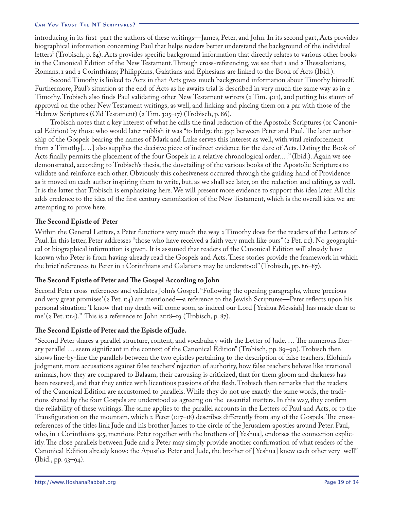introducing in its first part the authors of these writings—James, Peter, and John. In its second part, Acts provides biographical information concerning Paul that helps readers better understand the background of the individual letters" (Trobisch, p. 84). Acts provides specific background information that directly relates to various other books in the Canonical Edition of the New Testament. Through cross-referencing, we see that 1 and 2 Thessalonians, Romans, 1 and 2 Corinthians; Philippians, Galatians and Ephesians are linked to the Book of Acts (Ibid.).

Second Timothy is linked to Acts in that Acts gives much background information about Timothy himself. Furthermore, Paul's situation at the end of Acts as he awaits trial is described in very much the same way as in 2 Timothy. Trobisch also finds Paul validating other New Testament writers (2 Tim. 4:11), and putting his stamp of approval on the other New Testament writings, as well, and linking and placing them on a par with those of the Hebrew Scriptures (Old Testament) (2 Tim. 3:15–17) (Trobisch, p. 86).

Trobisch notes that a key interest of what he calls the final redaction of the Apostolic Scriptures (or Canonical Edition) by those who would later publish it was "to bridge the gap between Peter and Paul. The later authorship of the Gospels bearing the names of Mark and Luke serves this interest as well, with vital reinforcement from 2 Timothy[,…] also supplies the decisive piece of indirect evidence for the date of Acts. Dating the Book of Acts finally permits the placement of the four Gospels in a relative chronological order.…" (Ibid.). Again we see demonstrated, according to Trobisch's thesis, the dovetailing of the various books of the Apostolic Scriptures to validate and reinforce each other. Obviously this cohesiveness occurred through the guiding hand of Providence as it moved on each author inspiring them to write, but, as we shall see later, on the redaction and editing, as well. It is the latter that Trobisch is emphasizing here. We will present more evidence to support this idea later. All this adds credence to the idea of the first century canonization of the New Testament, which is the overall idea we are attempting to prove here.

### **The Second Epistle of Peter**

Within the General Letters, 2 Peter functions very much the way 2 Timothy does for the readers of the Letters of Paul. In this letter, Peter addresses "those who have received a faith very much like ours" (2 Pet. 1:1). No geographical or biographical information is given. It is assumed that readers of the Canonical Edition will already have known who Peter is from having already read the Gospels and Acts. These stories provide the framework in which the brief references to Peter in 1 Corinthians and Galatians may be understood" (Trobisch, pp. 86–87).

### **The Second Epistle of Peter and The Gospel According to John**

Second Peter cross-references and validates John's Gospel. "Following the opening paragraphs, where 'precious and very great promises' (2 Pet. 1:4) are mentioned—a reference to the Jewish Scriptures—Peter reflects upon his personal situation: 'I know that my death will come soon, as indeed our Lord [Yeshua Messiah] has made clear to me' (2 Pet. 1:14)." This is a reference to John 21:18–19 (Trobisch, p. 87).

### **The Second Epistle of Peter and the Epistle of Jude.**

"Second Peter shares a parallel structure, content, and vocabulary with the Letter of Jude. … The numerous literary parallel … seem significant in the context of the Canonical Edition" (Trobisch, pp. 89–90). Trobisch then shows line-by-line the parallels between the two epistles pertaining to the description of false teachers, Elohim's judgment, more accusations against false teachers' rejection of authority, how false teachers behave like irrational animals, how they are compared to Balaam, their carousing is criticized, that for them gloom and darkness has been reserved, and that they entice with licentious passions of the flesh. Trobisch then remarks that the readers of the Canonical Edition are accustomed to parallels. While they do not use exactly the same words, the traditions shared by the four Gospels are understood as agreeing on the essential matters. In this way, they confirm the reliability of these writings. The same applies to the parallel accounts in the Letters of Paul and Acts, or to the Transfiguration on the mountain, which 2 Peter (1:17–18) describes differently from any of the Gospels. The crossreferences of the titles link Jude and his brother James to the circle of the Jerusalem apostles around Peter. Paul, who, in 1 Corinthians 9:5, mentions Peter together with the brothers of [Yeshua], endorses the connection explicitly. The close parallels between Jude and 2 Peter may simply provide another confirmation of what readers of the Canonical Edition already know: the Apostles Peter and Jude, the brother of [Yeshua] knew each other very well" (Ibid., pp. 93–94).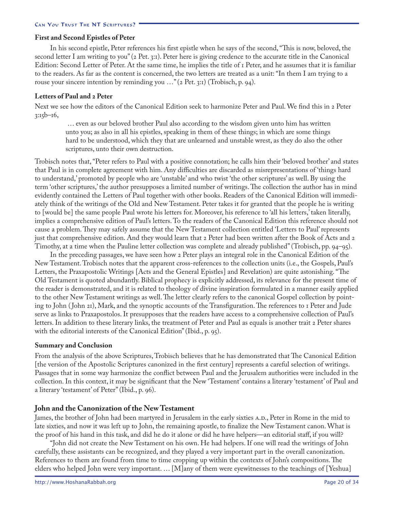### **First and Second Epistles of Peter**

In his second epistle, Peter references his first epistle when he says of the second, "This is now, beloved, the second letter I am writing to you" (2 Pet. 3:1). Peter here is giving credence to the accurate title in the Canonical Edition: Second Letter of Peter. At the same time, he implies the title of 1 Peter, and he assumes that it is familiar to the readers. As far as the content is concerned, the two letters are treated as a unit: "In them I am trying to a rouse your sincere intention by reminding you …" (2 Pet. 3:1) (Trobisch, p. 94).

### **Letters of Paul and 2 Peter**

Next we see how the editors of the Canonical Edition seek to harmonize Peter and Paul. We find this in 2 Peter  $3:15b-16$ ,

 … even as our beloved brother Paul also according to the wisdom given unto him has written unto you; as also in all his epistles, speaking in them of these things; in which are some things hard to be understood, which they that are unlearned and unstable wrest, as they do also the other scriptures, unto their own destruction.

Trobisch notes that, "Peter refers to Paul with a positive connotation; he calls him their 'beloved brother' and states that Paul is in complete agreement with him. Any difficulties are discarded as misrepresentations of 'things hard to understand,' promoted by people who are 'unstable' and who twist 'the other scriptures' as well. By using the term 'other scriptures,' the author presupposes a limited number of writings. The collection the author has in mind evidently contained the Letters of Paul together with other books. Readers of the Canonical Edition will immediately think of the writings of the Old and New Testament. Peter takes it for granted that the people he is writing to [would be] the same people Paul wrote his letters for. Moreover, his reference to 'all his letters,' taken literally, implies a comprehensive edition of Paul's letters. To the readers of the Canonical Edition this reference should not cause a problem. They may safely assume that the New Testament collection entitled 'Letters to Paul' represents just that comprehensive edition. And they would learn that 2 Peter had been written after the Book of Acts and 2 Timothy, at a time when the Pauline letter collection was complete and already published" (Trobisch, pp. 94–95).

In the preceding passages, we have seen how 2 Peter plays an integral role in the Canonical Edition of the New Testament. Trobisch notes that the apparent cross-references to the collection units (i.e., the Gospels, Paul's Letters, the Praxapostolic Writings [Acts and the General Epistles] and Revelation) are quite astonishing. "The Old Testament is quoted abundantly. Biblical prophecy is explicitly addressed, its relevance for the present time of the reader is demonstrated, and it is related to theology of divine inspiration formulated in a manner easily applied to the other New Testament writings as well. The letter clearly refers to the canonical Gospel collection by pointing to John ( John 21), Mark, and the synoptic accounts of the Transfiguration. The references to 1 Peter and Jude serve as links to Praxapostolos. It presupposes that the readers have access to a comprehensive collection of Paul's letters. In addition to these literary links, the treatment of Peter and Paul as equals is another trait 2 Peter shares with the editorial interests of the Canonical Edition" (Ibid., p. 95).

### **Summary and Conclusion**

From the analysis of the above Scriptures, Trobisch believes that he has demonstrated that The Canonical Edition [the version of the Apostolic Scriptures canonized in the first century] represents a careful selection of writings. Passages that in some way harmonize the conflict between Paul and the Jerusalem authorities were included in the collection. In this context, it may be significant that the New 'Testament' contains a literary 'testament' of Paul and a literary 'testament' of Peter" (Ibid., p. 96).

### **John and the Canonization of the New Testament**

James, the brother of John had been martyred in Jerusalem in the early sixties A.D., Peter in Rome in the mid to late sixties, and now it was left up to John, the remaining apostle, to finalize the New Testament canon. What is the proof of his hand in this task, and did he do it alone or did he have helpers—an editorial staff, if you will?

"John did not create the New Testament on his own. He had helpers. If one will read the writings of John carefully, these assistants can be recognized, and they played a very important part in the overall canonization. References to them are found from time to time cropping up within the contexts of John's compositions. The elders who helped John were very important. … [M]any of them were eyewitnesses to the teachings of [Yeshua]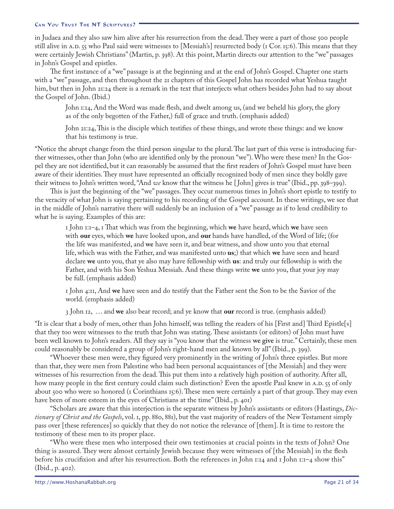in Judaea and they also saw him alive after his resurrection from the dead. They were a part of those 500 people still alive in A.D. 55 who Paul said were witnesses to [Messiah's] resurrected body (1 Cor. 15:6). This means that they were certainly Jewish Christians" (Martin, p. 398). At this point, Martin directs our attention to the "we" passages in John's Gospel and epistles.

The first instance of a "we" passage is at the beginning and at the end of John's Gospel. Chapter one starts with a "we" passage, and then throughout the 21 chapters of this Gospel John has recorded what Yeshua taught him, but then in John 21:24 there is a remark in the text that interjects what others besides John had to say about the Gospel of John. (Ibid.)

John 1:14, And the Word was made flesh, and dwelt among us, (and we beheld his glory, the glory as of the only begotten of the Father,) full of grace and truth. (emphasis added)

John 21:24, This is the disciple which testifies of these things, and wrote these things: and we know that his testimony is true.

"Notice the abrupt change from the third person singular to the plural. The last part of this verse is introducing further witnesses, other than John (who are identified only by the pronoun "we"). Who were these men? In the Gospel they are not identified, but it can reasonably be assumed that the first readers of John's Gospel must have been aware of their identities. They must have represented an officially recognized body of men since they boldly gave their witness to John's written word, "And *we* know that the witness he [ John] gives is true" (Ibid., pp. 398–399).

This is just the beginning of the "we" passages. They occur numerous times in John's short epistle to testify to the veracity of what John is saying pertaining to his recording of the Gospel account. In these writings, we see that in the middle of John's narrative there will suddenly be an inclusion of a "we" passage as if to lend credibility to what he is saying. Examples of this are:

1 John 1:1–4, 1 That which was from the beginning, which **we** have heard, which **we** have seen with **our** eyes, which **we** have looked upon, and **our** hands have handled, of the Word of life; (for the life was manifested, and **we** have seen it, and bear witness, and show unto you that eternal life, which was with the Father, and was manifested unto **us**;) that which **we** have seen and heard declare **we** unto you, that ye also may have fellowship with **us**: and truly our fellowship is with the Father, and with his Son Yeshua Messiah. And these things write **we** unto you, that your joy may be full. (emphasis added)

1 John 4:11, And **we** have seen and do testify that the Father sent the Son to be the Savior of the world. (emphasis added)

3 John 12, … and **we** also bear record; and ye know that **our** record is true. (emphasis added)

"It is clear that a body of men, other than John himself, was telling the readers of his [First and] Third Epistle[s] that they too were witnesses to the truth that John was stating. These assistants (or editors) of John must have been well known to John's readers. All they say is "you know that the witness **we give** is true." Certainly, these men could reasonably be considered a group of John's right-hand men and known by all" (Ibid., p. 399).

"Whoever these men were, they figured very prominently in the writing of John's three epistles. But more than that, they were men from Palestine who had been personal acquaintances of [the Messiah] and they were witnesses of his resurrection from the dead. This put them into a relatively high position of authority. After all, how many people in the first century could claim such distinction? Even the apostle Paul knew in A.D. 55 of only about 500 who were so honored (1 Corinthians 15:6). These men were certainly a part of that group. They may even have been of more esteem in the eyes of Christians at the time" (Ibid., p. 401)

"Scholars are aware that this interjection is the separate witness by John's assistants or editors (Hastings, *Dictionary of Christ and the Gospels*, vol. 1, pp. 880, 881), but the vast majority of readers of the New Testament simply pass over [these references] so quickly that they do not notice the relevance of [them]. It is time to restore the testimony of these men to its proper place.

"Who were these men who interposed their own testimonies at crucial points in the texts of John? One thing is assured. They were almost certainly Jewish because they were witnesses of [the Messiah] in the flesh before his crucifixion and after his resurrection. Both the references in John 1:14 and 1 John 1:1–4 show this" (Ibid., p. 402).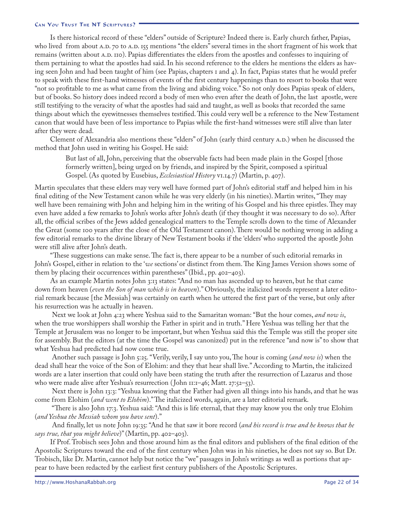Is there historical record of these "elders" outside of Scripture? Indeed there is. Early church father, Papias, who lived from about A.D. 70 to A.D. 155 mentions "the elders" several times in the short fragment of his work that remains (written about A.D. 110). Papias differentiates the elders from the apostles and confesses to inquiring of them pertaining to what the apostles had said. In his second reference to the elders he mentions the elders as having seen John and had been taught of him (see Papias, chapters 1 and 4). In fact, Papias states that he would prefer to speak with these first-hand witnesses of events of the first century happenings than to resort to books that were "not so profitable to me as what came from the living and abiding voice." So not only does Papias speak of elders, but of books. So history does indeed record a body of men who even after the death of John, the last apostle, were still testifying to the veracity of what the apostles had said and taught, as well as books that recorded the same things about which the eyewitnesses themselves testified. This could very well be a reference to the New Testament canon that would have been of less importance to Papias while the first-hand witnesses were still alive than later after they were dead.

Clement of Alexandria also mentions these "elders" of John (early third century a.d.) when he discussed the method that John used in writing his Gospel. He said:

But last of all, John, perceiving that the observable facts had been made plain in the Gospel [those formerly written], being urged on by friends, and inspired by the Spirit, composed a spiritual Gospel. (As quoted by Eusebius, *Ecclesiastical History* vi.14.7) (Martin, p. 407).

Martin speculates that these elders may very well have formed part of John's editorial staff and helped him in his final editing of the New Testament canon while he was very elderly (in his nineties). Martin writes, "They may well have been remaining with John and helping him in the writing of his Gospel and his three epistles. They may even have added a few remarks to John's works after John's death (if they thought it was necessary to do so). After all, the official scribes of the Jews added genealogical matters to the Temple scrolls down to the time of Alexander the Great (some 100 years after the close of the Old Testament canon). There would be nothing wrong in adding a few editorial remarks to the divine library of New Testament books if the 'elders' who supported the apostle John were still alive after John's death.

"These suggestions can make sense. The fact is, there appear to be a number of such editorial remarks in John's Gospel, either in relation to the '*we* sections' or distinct from them. The King James Version shows some of them by placing their occurrences within parentheses" (Ibid., pp. 402–403).

As an example Martin notes John 3:13 states: "And no man has ascended up to heaven, but he that came down from heaven (*even the Son of man which is in heaven*)." Obviously, the italicized words represent a later editorial remark because [the Messiah] was certainly on earth when he uttered the first part of the verse, but only after his resurrection was he actually in heaven.

 Next we look at John 4:23 where Yeshua said to the Samaritan woman: "But the hour comes, *and now is*, when the true worshippers shall worship the Father in spirit and in truth." Here Yeshua was telling her that the Temple at Jerusalem was no longer to be important, but when Yeshua said this the Temple was still the proper site for assembly. But the editors (at the time the Gospel was canonized) put in the reference "and now is" to show that what Yeshua had predicted had now come true.

 Another such passage is John 5:25. "Verily, verily, I say unto you, The hour is coming (*and now is*) when the dead shall hear the voice of the Son of Elohim: and they that hear shall live." According to Martin, the italicized words are a later insertion that could only have been stating the truth after the resurrection of Lazarus and those who were made alive after Yeshua's resurrection (John  $11:1-46$ ; Matt. 27:52–53).

 Next there is John 13:3: "Yeshua knowing that the Father had given all things into his hands, and that he was come from Elohim (*and went to Elohim*)." The italicized words, again, are a later editorial remark.

 "There is also John 17:3. Yeshua said: "And this is life eternal, that they may know you the only true Elohim (*and Yeshua the Messiah whom you have sent*)."

 And finally, let us note John 19:35: "And he that saw it bore record (*and his record is true and he knows that he says true, that you might believe*)" (Martin, pp. 402–403).

If Prof. Trobisch sees John and those around him as the final editors and publishers of the final edition of the Apostolic Scriptures toward the end of the first century when John was in his nineties, he does not say so. But Dr. Trobisch, like Dr. Martin, cannot help but notice the "we" passages in John's writings as well as portions that appear to have been redacted by the earliest first century publishers of the Apostolic Scriptures.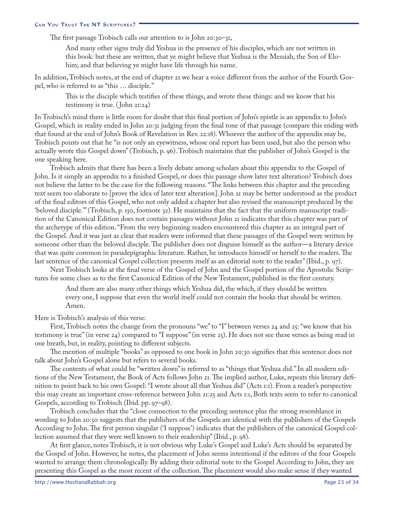The first passage Trobisch calls our attention to is John 20:30–31,

And many other signs truly did Yeshua in the presence of his disciples, which are not written in this book: but these are written, that ye might believe that Yeshua is the Messiah, the Son of Elohim; and that believing ye might have life through his name.

In addition, Trobisch notes, at the end of chapter 21 we hear a voice different from the author of the Fourth Gospel, who is referred to as "this … disciple."

This is the disciple which testifies of these things, and wrote these things: and we know that his testimony is true. (John 21:24)

In Trobisch's mind there is little room for doubt that this final portion of John's epistle is an appendix to John's Gospel, which in reality ended in John 20:31 judging from the final tone of that passage (compare this ending with that found at the end of John's Book of Revelation in Rev. 22:18). Whoever the author of the appendix may be, Trobisch points out that he "is not only an eyewitness, whose oral report has been used, but also the person who actually wrote this Gospel down" (Trobisch, p. 96). Trobisch maintains that the publisher of John's Gospel is the one speaking here.

Trobisch admits that there has been a lively debate among scholars about this appendix to the Gospel of John. Is it simply an appendix to a finished Gospel, or does this passage show later text alteration? Trobisch does not believe the latter to be the case for the following reasons. "The links between this chapter and the preceding text seem too elaborate to [prove the idea of later text alteration]. John 21 may be better understood as the product of the final editors of this Gospel, who not only added a chapter but also revised the manuscript produced by the 'beloved disciple.'" (Trobisch, p. 150, footnote 32). He maintains that the fact that the uniform manuscript tradition of the Canonical Edition does not contain passages without John 21 indicates that this chapter was part of the archetype of this edition. "From the very beginning readers encountered this chapter as an integral part of the Gospel. And it was just as clear that readers were informed that these passages of the Gospel were written by someone other than the beloved disciple. The publisher does not disguise himself as the author—a literary device that was quite common in pseudepigraphic literature. Rather, he introduces himself or herself to the readers. The last sentence of the canonical Gospel collection presents itself as an editorial note to the reader" (Ibid., p. 97).

Next Trobisch looks at the final verse of the Gospel of John and the Gospel portion of the Apostolic Scriptures for some clues as to the first Canonical Edition of the New Testament, published in the first century.

And there are also many other things which Yeshua did, the which, if they should be written every one, I suppose that even the world itself could not contain the books that should be written. Amen.

Here is Trobisch's analysis of this verse:

First, Trobisch notes the change from the pronouns "we" to "I" between verses 24 and 25: "we know that his testimony is true" (in verse 24) compared to "I suppose" (in verse 25). He does not see these verses as being read in one breath, but, in reality, pointing to different subjects.

The mention of multiple "books" as opposed to one book in John 20:30 signifies that this sentence does not talk about John's Gospel alone but refers to several books.

The contents of what could be "written down" is referred to as "things that Yeshua did." In all modern editions of the New Testament, the Book of Acts follows John 21. The implied author, Luke, repeats this literary definition to point back to his own Gospel: "I wrote about all that Yeshua did" (Acts 1:1). From a reader's perspective this may create an important cross-reference between John 21:25 and Acts 1:1, Both texts seem to refer to canonical Gospels, according to Trobisch (Ibid. pp. 97–98).

Trobisch concludes that the "close connection to the preceding sentence plus the strong resemblance in wording to John 20:30 suggests that the publishers of the Gospels are identical with the publishers of the Gospels According to John. The first person singular ('I suppose') indicates that the publishers of the canonical Gospel collection assumed that they were well known to their readership" (Ibid., p. 98).

At first glance, notes Trobisch, it is not obvious why Luke's Gospel and Luke's Acts should be separated by the Gospel of John. However, he notes, the placement of John seems intentional if the editors of the four Gospels wanted to arrange them chronologically. By adding their editorial note to the Gospel According to John, they are presenting this Gospel as the most recent of the collection. The placement would also make sense if they wanted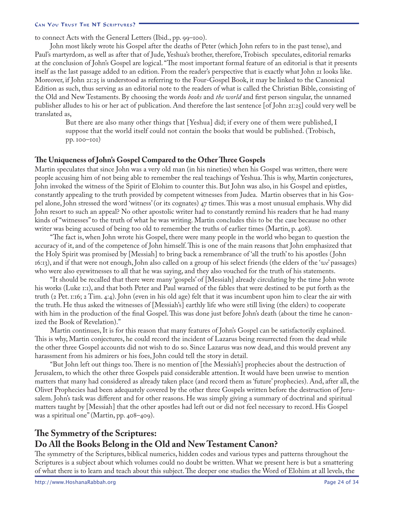to connect Acts with the General Letters (Ibid., pp. 99–100).

John most likely wrote his Gospel after the deaths of Peter (which John refers to in the past tense), and Paul's martyrdom, as well as after that of Jude, Yeshua's brother, therefore, Trobisch speculates, editorial remarks at the conclusion of John's Gospel are logical. "The most important formal feature of an editorial is that it presents itself as the last passage added to an edition. From the reader's perspective that is exactly what John 21 looks like. Moreover, if John 21:25 is understood as referring to the Four-Gospel Book, it may be linked to the Canonical Edition as such, thus serving as an editorial note to the readers of what is called the Christian Bible, consisting of the Old and New Testaments. By choosing the words *books* and *the world* and first person singular, the unnamed publisher alludes to his or her act of publication. And therefore the last sentence [of John 21:25] could very well be translated as,

But there are also many other things that [Yeshua] did; if every one of them were published, I suppose that the world itself could not contain the books that would be published. (Trobisch, pp. 100–101)

### **The Uniqueness of John's Gospel Compared to the Other Three Gospels**

Martin speculates that since John was a very old man (in his nineties) when his Gospel was written, there were people accusing him of not being able to remember the real teachings of Yeshua. This is why, Martin conjectures, John invoked the witness of the Spirit of Elohim to counter this. But John was also, in his Gospel and epistles, constantly appealing to the truth provided by competent witnesses from Judea. Martin observes that in his Gospel alone, John stressed the word 'witness' (or its cognates) 47 times. This was a most unusual emphasis. Why did John resort to such an appeal? No other apostolic writer had to constantly remind his readers that he had many kinds of "witnesses" to the truth of what he was writing. Martin concludes this to be the case because no other writer was being accused of being too old to remember the truths of earlier times (Martin, p. 408).

"The fact is, when John wrote his Gospel, there were many people in the world who began to question the accuracy of it, and of the competence of John himself. This is one of the main reasons that John emphasized that the Holy Spirit was promised by [Messiah] to bring back a remembrance of 'all the truth' to his apostles ( John 16:13), and if that were not enough, John also called on a group of his select friends (the elders of the '*we*' passages) who were also eyewitnesses to all that he was saying, and they also vouched for the truth of his statements.

"It should be recalled that there were many 'gospels' of [Messiah] already circulating by the time John wrote his works (Luke 1:1), and that both Peter and Paul warned of the fables that were destined to be put forth as the truth (2 Pet. 1:16; 2 Tim. 4:4). John (even in his old age) felt that it was incumbent upon him to clear the air with the truth. He thus asked the witnesses of [Messiah's] earthly life who were still living (the elders) to cooperate with him in the production of the final Gospel. This was done just before John's death (about the time he canonized the Book of Revelation)."

Martin continues, It is for this reason that many features of John's Gospel can be satisfactorily explained. This is why, Martin conjectures, he could record the incident of Lazarus being resurrected from the dead while the other three Gospel accounts did not wish to do so. Since Lazarus was now dead, and this would prevent any harassment from his admirers or his foes, John could tell the story in detail.

"But John left out things too. There is no mention of [the Messiah's] prophecies about the destruction of Jerusalem, to which the other three Gospels paid considerable attention. It would have been unwise to mention matters that many had considered as already taken place (and record them as 'future' prophecies). And, after all, the Olivet Prophecies had been adequately covered by the other three Gospels written before the destruction of Jerusalem. John's task was different and for other reasons. He was simply giving a summary of doctrinal and spiritual matters taught by [Messiah] that the other apostles had left out or did not feel necessary to record. His Gospel was a spiritual one" (Martin, pp. 408–409).

# **The Symmetry of the Scriptures: Do All the Books Belong in the Old and New Testament Canon?**

The symmetry of the Scriptures, biblical numerics, hidden codes and various types and patterns throughout the Scriptures is a subject about which volumes could no doubt be written. What we present here is but a smattering of what there is to learn and teach about this subject. The deeper one studies the Word of Elohim at all levels, the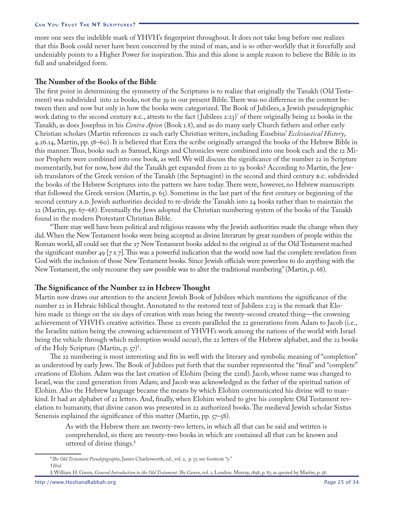more one sees the indelible mark of YHVH's fingerprint throughout. It does not take long before one realizes that this Book could never have been conceived by the mind of man, and is so other-worldly that it forcefully and undeniably points to a Higher Power for inspiration. This and this alone is ample reason to believe the Bible in its full and unabridged form.

### **The Number of the Books of the Bible**

The first point in determining the symmetry of the Scriptures is to realize that originally the Tanakh (Old Testament) was subdivided into 22 books, not the 39 in our present Bible. There was no difference in the content between then and now but only in how the books were categorized. The Book of Jubilees, a Jewish pseudepigraphic work dating to the second century b.c., attests to the fact ( Jubilees 2:23) of there originally being 22 books in the Tanakh, as does Josephus in his *Contra Apion* (Book 1.8), and as do many early Church fathers and other early Christian scholars (Martin references 22 such early Christian writers, including Eusebius' *Ecclesiastical History*, 4.26.14, Martin, pp. 58–60). It is believed that Ezra the scribe originally arranged the books of the Hebrew Bible in this manner. Thus, books such as Samuel, Kings and Chronicles were combined into one book each and the 12 Minor Prophets were combined into one book, as well. We will discuss the significance of the number 22 in Scripture momentarily, but for now, how did the Tanakh get expanded from 22 to 39 books? According to Martin, the Jewish translators of the Greek version of the Tanakh (the Septuagint) in the second and third century b.c. subdivided the books of the Hebrew Scriptures into the pattern we have today. There were, however, no Hebrew manuscripts that followed the Greek version (Martin, p. 65). Sometime in the last part of the first century or beginning of the second century A.D. Jewish authorities decided to re-divide the Tanakh into 24 books rather than to maintain the 22 (Martin, pp. 67–68). Eventually the Jews adopted the Christian numbering system of the books of the Tanakh found in the modern Protestant Christian Bible.

"There may well have been political and religious reasons why the Jewish authorities made the change when they did. When the New Testament books were being accepted as divine literature by great numbers of people within the Roman world, all could see that the 27 New Testament books added to the original 22 of the Old Testament reached the significant number 49 [7 x 7]. This was a powerful indication that the world now had the complete revelation from God with the inclusion of those New Testament books. Since Jewish officials were powerless to do anything with the New Testament, the only recourse they saw possible was to alter the traditional numbering" (Martin, p. 68).

### **The Significance of the Number 22 in Hebrew Thought**

Martin now draws our attention to the ancient Jewish Book of Jubilees which mentions the significance of the number 22 in Hebraic biblical thought. Annotated to the restored text of Jubilees 2:23 is the remark that Elohim made 22 things on the six days of creation with man being the twenty-second created thing—the crowning achievement of YHVH's creative activities. These 22 events paralleled the 22 generations from Adam to Jacob (i.e., the Israelite nation being the crowning achievement of YHVH's work among the nations of the world with Israel being the vehicle through which redemption would occur), the 22 letters of the Hebrew alphabet, and the 22 books of the Holy Scripture (Martin, p. 57) .

The 22 numbering is most interesting and fits in well with the literary and symbolic meaning of "completion" as understood by early Jews. The Book of Jubilees put forth that the number represented the "final" and "complete" creations of Elohim. Adam was the last creation of Elohim (being the 22nd). Jacob, whose name was changed to Israel, was the 22nd generation from Adam; and Jacob was acknowledged as the father of the spiritual nation of Elohim. Also the Hebrew language became the means by which Elohim communicated his divine will to mankind. It had an alphabet of 22 letters. And, finally, when Elohim wished to give his complete Old Testament revelation to humanity, that divine canon was presented in 22 authorized books. The medieval Jewish scholar Sixtus Senensis explained the significance of this matter (Martin, pp. 57–58).

As with the Hebrew there are twenty-two letters, in which all that can be said and written is comprehended, so there are twenty-two books in which are contained all that can be known and uttered of divine things.

*The Old Testament Pseudepigrapha*, James Charlesworth, ed., vol. 2, p. 57, see footnote "y." *Ibid.*

William H. Green, *General Introduction to the Old Testament: The Canon*, vol. 1, London: Murray, 1898, p. 87, as quoted by Martin, p. 58.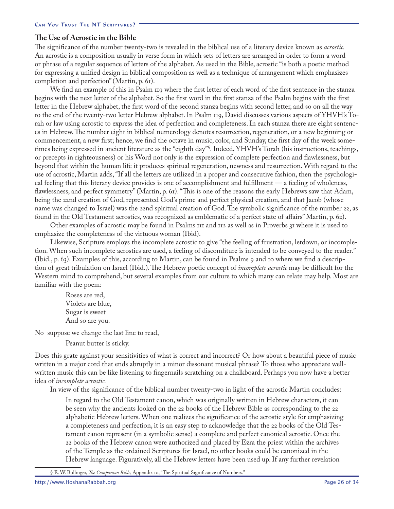### **The Use of Acrostic in the Bible**

The significance of the number twenty-two is revealed in the biblical use of a literary device known as *acrostic.*  An acrostic is a composition usually in verse form in which sets of letters are arranged in order to form a word or phrase of a regular sequence of letters of the alphabet. As used in the Bible, acrostic "is both a poetic method for expressing a unified design in biblical composition as well as a technique of arrangement which emphasizes completion and perfection" (Martin, p. 61).

We find an example of this in Psalm 119 where the first letter of each word of the first sentence in the stanza begins with the next letter of the alphabet. So the first word in the first stanza of the Psalm begins with the first letter in the Hebrew alphabet, the first word of the second stanza begins with second letter, and so on all the way to the end of the twenty-two letter Hebrew alphabet. In Psalm 119, David discusses various aspects of YHVH's Torah or law using acrostic to express the idea of perfection and completeness. In each stanza there are eight sentences in Hebrew. The number eight in biblical numerology denotes resurrection, regeneration, or a new beginning or commencement, a new first; hence, we find the octave in music, color, and Sunday, the first day of the week sometimes being expressed in ancient literature as the "eighth day" . Indeed, YHVH's Torah (his instructions, teachings, or precepts in righteousness) or his Word not only is the expression of complete perfection and flawlessness, but beyond that within the human life it produces spiritual regeneration, newness and resurrection. With regard to the use of acrostic, Martin adds, "If all the letters are utilized in a proper and consecutive fashion, then the psychological feeling that this literary device provides is one of accomplishment and fulfillment — a feeling of wholeness, flawlessness, and perfect symmetry" (Martin, p. 61). "This is one of the reasons the early Hebrews saw that Adam, being the 22nd creation of God, represented God's prime and perfect physical creation, and that Jacob (whose name was changed to Israel) was the 22nd spiritual creation of God. The symbolic significance of the number 22, as found in the Old Testament acrostics, was recognized as emblematic of a perfect state of affairs" Martin, p. 62).

Other examples of acrostic may be found in Psalms 111 and 112 as well as in Proverbs 31 where it is used to emphasize the completeness of the virtuous woman (Ibid).

Likewise, Scripture employs the incomplete acrostic to give "the feeling of frustration, letdown, or incompletion. When such incomplete acrostics are used, a feeling of discomfiture is intended to be conveyed to the reader." (Ibid., p. 63). Examples of this, according to Martin, can be found in Psalms 9 and 10 where we find a description of great tribulation on Israel (Ibid.). The Hebrew poetic concept of *incomplete acrostic* may be difficult for the Western mind to comprehend, but several examples from our culture to which many can relate may help. Most are familiar with the poem:

Roses are red, Violets are blue, Sugar is sweet And so are you.

No suppose we change the last line to read,

Peanut butter is sticky.

Does this grate against your sensitivities of what is correct and incorrect? Or how about a beautiful piece of music written in a major cord that ends abruptly in a minor dissonant musical phrase? To those who appreciate wellwritten music this can be like listening to fingernails scratching on a chalkboard. Perhaps you now have a better idea of *incomplete acrostic.*

In view of the significance of the biblical number twenty-two in light of the acrostic Martin concludes:

In regard to the Old Testament canon, which was originally written in Hebrew characters, it can be seen why the ancients looked on the 22 books of the Hebrew Bible as corresponding to the 22 alphabetic Hebrew letters. When one realizes the significance of the acrostic style for emphasizing a completeness and perfection, it is an easy step to acknowledge that the 22 books of the Old Testament canon represent (in a symbolic sense) a complete and perfect canonical acrostic. Once the 22 books of the Hebrew canon were authorized and placed by Ezra the priest within the archives of the Temple as the ordained Scriptures for Israel, no other books could be canonized in the Hebrew language. Figuratively, all the Hebrew letters have been used up. If any further revelation

E. W. Bullinger, *The Companion Bible*, Appendix 10, "The Spiritual Significance of Numbers."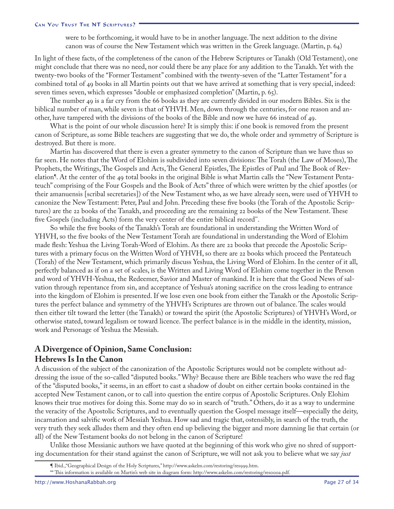were to be forthcoming, it would have to be in another language. The next addition to the divine canon was of course the New Testament which was written in the Greek language. (Martin, p. 64)

In light of these facts, of the completeness of the canon of the Hebrew Scriptures or Tanakh (Old Testament), one might conclude that there was no need, nor could there be any place for any addition to the Tanakh. Yet with the twenty-two books of the "Former Testament" combined with the twenty-seven of the "Latter Testament" for a combined total of 49 books in all Martin points out that we have arrived at something that is very special, indeed: seven times seven, which expresses "double or emphasized completion" (Martin, p. 65).

The number 49 is a far cry from the 66 books as they are currently divided in our modern Bibles. Six is the biblical number of man, while seven is that of YHVH. Men, down through the centuries, for one reason and another, have tampered with the divisions of the books of the Bible and now we have 66 instead of 49.

What is the point of our whole discussion here? It is simply this: if one book is removed from the present canon of Scripture, as some Bible teachers are suggesting that we do, the whole order and symmetry of Scripture is destroyed. But there is more.

Martin has discovered that there is even a greater symmetry to the canon of Scripture than we have thus so far seen. He notes that the Word of Elohim is subdivided into seven divisions: The Torah (the Law of Moses), The Prophets, the Writings, The Gospels and Acts, The General Epistles, The Epistles of Paul and The Book of Revelation<sup>¶</sup>. At the center of the 49 total books in the original Bible is what Martin calls the "New Testament Pentateuch" comprising of the Four Gospels and the Book of Acts" three of which were written by the chief apostles (or their amanuensis [scribal secretaries]) of the New Testament who, as we have already seen, were used of YHVH to canonize the New Testament: Peter, Paul and John. Preceding these five books (the Torah of the Apostolic Scriptures) are the 22 books of the Tanakh, and proceeding are the remaining 22 books of the New Testament. These five Gospels (including Acts) form the very center of the entire biblical record<sup>\*\*</sup>.

So while the five books of the Tanakh's Torah are foundational in understanding the Written Word of YHVH, so the five books of the New Testament Torah are foundational in understanding the Word of Elohim made flesh: Yeshua the Living Torah-Word of Elohim. As there are 22 books that precede the Apostolic Scriptures with a primary focus on the Written Word of YHVH, so there are 22 books which proceed the Pentateuch (Torah) of the New Testament, which primarily discuss Yeshua, the Living Word of Elohim. In the center of it all, perfectly balanced as if on a set of scales, is the Written and Living Word of Elohim come together in the Person and word of YHVH-Yeshua, the Redeemer, Savior and Master of mankind. It is here that the Good News of salvation through repentance from sin, and acceptance of Yeshua's atoning sacrifice on the cross leading to entrance into the kingdom of Elohim is presented. If we lose even one book from either the Tanakh or the Apostolic Scriptures the perfect balance and symmetry of the YHVH's Scriptures are thrown out of balance. The scales would then either tilt toward the letter (the Tanakh) or toward the spirit (the Apostolic Scriptures) of YHVH's Word, or otherwise stated, toward legalism or toward licence. The perfect balance is in the middle in the identity, mission, work and Personage of Yeshua the Messiah.

### **A Divergence of Opinion, Same Conclusion: Hebrews Is In the Canon**

A discussion of the subject of the canonization of the Apostolic Scriptures would not be complete without addressing the issue of the so-called "disputed books." Why? Because there are Bible teachers who wave the red flag of the "disputed books," it seems, in an effort to cast a shadow of doubt on either certain books contained in the accepted New Testament canon, or to call into question the entire corpus of Apostolic Scriptures. Only Elohim knows their true motives for doing this. Some may do so in search of "truth." Others, do it as a way to undermine the veracity of the Apostolic Scriptures, and to eventually question the Gospel message itself—especially the deity, incarnation and salvific work of Messiah Yeshua. How sad and tragic that, ostensibly, in search of the truth, the very truth they seek alludes them and they often end up believing the bigger and more damning lie that certain (or all) of the New Testament books do not belong in the canon of Scripture!

Unlike those Messianic authors we have quoted at the beginning of this work who give no shred of supporting documentation for their stand against the canon of Scripture, we will not ask you to believe what we say *just* 

Ibid.,"Geographical Design of the Holy Scriptures," http://www.askelm.com/restoring/res999.htm.

<sup>\*\*</sup> This information is available on Martin's web site in diagram form: http://www.askelm.com/restoring/res000a.pdf.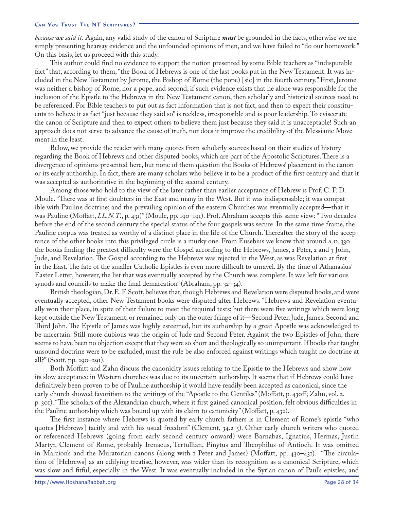*because we said it.* Again, any valid study of the canon of Scripture *must* be grounded in the facts, otherwise we are simply presenting hearsay evidence and the unfounded opinions of men, and we have failed to "do our homework." On this basis, let us proceed with this study.

This author could find no evidence to support the notion presented by some Bible teachers as "indisputable fact" that, according to them, "the Book of Hebrews is one of the last books put in the New Testament. It was included in the New Testament by Jerome, the Bishop of Rome (the pope) [sic] in the fourth century." First, Jerome was neither a bishop of Rome, nor a pope, and second, if such evidence exists that he alone was responsible for the inclusion of the Epistle to the Hebrews in the New Testament canon, then scholarly and historical sources need to be referenced. For Bible teachers to put out as fact information that is not fact, and then to expect their constituents to believe it as fact "just because they said so" is reckless, irresponsible and is poor leadership. To eviscerate the canon of Scripture and then to expect others to believe them just because they said it is unacceptable! Such an approach does not serve to advance the cause of truth, nor does it improve the credibility of the Messianic Movement in the least.

Below, we provide the reader with many quotes from scholarly sources based on their studies of history regarding the Book of Hebrews and other disputed books, which are part of the Apostolic Scriptures. There is a divergence of opinions presented here, but none of them question the Books of Hebrews' placement in the canon or its early authorship. In fact, there are many scholars who believe it to be a product of the first century and that it was accepted as authoritative in the beginning of the second century.

Among those who hold to the view of the later rather than earlier acceptance of Hebrew is Prof. C. F. D. Moule. "There was at first doubters in the East and many in the West. But it was indispensable; it was compatible with Pauline doctrine; and the prevailing opinion of the eastern Churches was eventually accepted—that it was Pauline (Moffatt, *I.L.N.T*., p. 431)" (Moule, pp. 190–191). Prof. Abraham accepts this same view: "Two decades before the end of the second century the special status of the four gospels was secure. In the same time frame, the Pauline corpus was treated as worthy of a distinct place in the life of the Church. Thereafter the story of the acceptance of the other books into this privileged circle is a murky one. From Eusebius we know that around A.D.330 the books finding the greatest difficulty were the Gospel according to the Hebrews, James, 2 Peter, 2 and 3 John, Jude, and Revelation. The Gospel according to the Hebrews was rejected in the West, as was Revelation at first in the East. The fate of the smaller Catholic Epistles is even more difficult to unravel. By the time of Athanasius' Easter Letter, however, the list that was eventually accepted by the Church was complete. It was left for various synods and councils to make the final demarcation" (Abraham, pp. 32–34).

British theologian, Dr. E. F. Scott, believes that, though Hebrews and Revelation were disputed books, and were eventually accepted, other New Testament books were disputed after Hebrews. "Hebrews and Revelation eventually won their place, in spite of their failure to meet the required tests; but there were five writings which were long kept outside the New Testament, or remained only on the outer fringe of it—Second Peter, Jude, James, Second and Third John. The Epistle of James was highly esteemed, but its authorship by a great Apostle was acknowledged to be uncertain. Still more dubious was the origin of Jude and Second Peter. Against the two Epistles of John, there seems to have been no objection except that they were so short and theologically so unimportant. If books that taught unsound doctrine were to be excluded, must the rule be also enforced against writings which taught no doctrine at all?" (Scott, pp. 290–291).

Both Moffatt and Zahn discuss the canonicity issues relating to the Epistle to the Hebrews and show how its slow acceptance in Western churches was due to its uncertain authorship. It seems that if Hebrews could have definitively been proven to be of Pauline authorship it would have readily been accepted as canonical, since the early church showed favoritism to the writings of the "Apostle to the Gentiles" (Moffatt, p. 430ff; Zahn, vol. 2. p. 301). "The scholars of the Alexandrian church, where it first gained canonical position, felt obvious difficulties in the Pauline authorship which was bound up with its claim to canonicity" (Moffatt, p. 432).

The first instance where Hebrews is quoted by early church fathers is in Clement of Rome's epistle "who quotes [Hebrews] tacitly and with his usual freedom" (Clement,  $34.2$ -5). Other early church writers who quoted or referenced Hebrews (going from early second century onward) were Barnabas, Ignatius, Hermas, Justin Martyr, Clement of Rome, probably Irenaeus, Tertullian, Pinytus and Theophilus of Antioch. It was omitted in Marcion's and the Muratorian canons (along with  $\bar{I}$  Peter and James) (Moffatt, pp. 430–431). "The circulation of [Hebrews] as an edifying treatise, however, was wider than its recognition as a canonical Scripture, which was slow and fitful, especially in the West. It was eventually included in the Syrian canon of Paul's epistles, and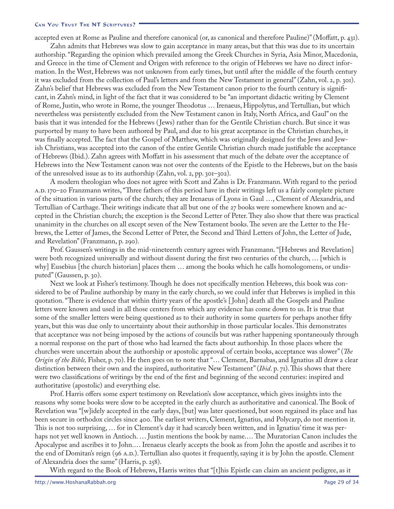accepted even at Rome as Pauline and therefore canonical (or, as canonical and therefore Pauline)" (Moffatt, p. 431).

Zahn admits that Hebrews was slow to gain acceptance in many areas, but that this was due to its uncertain authorship. "Regarding the opinion which prevailed among the Greek Churches in Syria, Asia Minor, Macedonia, and Greece in the time of Clement and Origen with reference to the origin of Hebrews we have no direct information. In the West, Hebrews was not unknown from early times, but until after the middle of the fourth century it was excluded from the collection of Paul's letters and from the New Testament in general" (Zahn, vol. 2, p. 301). Zahn's belief that Hebrews was excluded from the New Testament canon prior to the fourth century is significant, in Zahn's mind, in light of the fact that it was considered to be "an important didactic writing by Clement of Rome, Justin, who wrote in Rome, the younger Theodotus … Irenaeus, Hippolytus, and Tertullian, but which nevertheless was persistently excluded from the New Testament canon in Italy, North Africa, and Gaul" on the basis that it was intended for the Hebrews ( Jews) rather than for the Gentile Christian church. But since it was purported by many to have been authored by Paul, and due to his great acceptance in the Christian churches, it was finally accepted. The fact that the Gospel of Matthew, which was originally designed for the Jews and Jewish Christians, was accepted into the canon of the entire Gentile Christian church made justifiable the acceptance of Hebrews (Ibid.). Zahn agrees with Moffatt in his assessment that much of the debate over the acceptance of Hebrews into the New Testament canon was not over the contents of the Epistle to the Hebrews, but on the basis of the unresolved issue as to its authorship  $(Zahn, vol. 2, pp. 301–302)$ .

A modern theologian who does not agree with Scott and Zahn is Dr. Franzmann. With regard to the period A.D. – Franzmann writes, "Three fathers of this period have in their writings left us a fairly complete picture of the situation in various parts of the church; they are Irenaeus of Lyons in Gaul …, Clement of Alexandria, and Tertullian of Carthage. Their writings indicate that all but one of the 27 books were somewhere known and accepted in the Christian church; the exception is the Second Letter of Peter. They also show that there was practical unanimity in the churches on all except seven of the New Testament books. The seven are the Letter to the Hebrews, the Letter of James, the Second Letter of Peter, the Second and Third Letters of John, the Letter of Jude, and Revelation" (Franzmann, p. 290).

Prof. Gaussen's writings in the mid-nineteenth century agrees with Franzmann. "[Hebrews and Revelation] were both recognized universally and without dissent during the first two centuries of the church, … [which is why] Eusebius [the church historian] places them ... among the books which he calls homologomens, or undisputed" (Gaussen, p. 30).

Next we look at Fisher's testimony. Though he does not specifically mention Hebrews, this book was considered to be of Pauline authorship by many in the early church, so we could infer that Hebrews is implied in this quotation. "There is evidence that within thirty years of the apostle's [ John] death all the Gospels and Pauline letters were known and used in all those centers from which any evidence has come down to us. It is true that some of the smaller letters were being questioned as to their authority in some quarters for perhaps another fifty years, but this was due only to uncertainty about their authorship in those particular locales. This demonstrates that acceptance was not being imposed by the actions of councils but was rather happening spontaneously through a normal response on the part of those who had learned the facts about authorship. In those places where the churches were uncertain about the authorship or apostolic approval of certain books, acceptance was slower" (*The*  Origin of the Bible, Fisher, p. 70). He then goes on to note that "... Clement, Barnabas, and Ignatius all draw a clear distinction between their own and the inspired, authoritative New Testament" (*Ibid*. p. 71). This shows that there were two classifications of writings by the end of the first and beginning of the second centuries: inspired and authoritative (apostolic) and everything else.

Prof. Harris offers some expert testimony on Revelation's slow acceptance, which gives insights into the reasons why some books were slow to be accepted in the early church as authoritative and canonical. The Book of Revelation was "[w]idely accepted in the early days, [but] was later questioned, but soon regained its place and has been secure in orthodox circles since 400. The earliest writers, Clement, Ignatius, and Polycarp, do not mention it. This is not too surprising, … for in Clement's day it had scarcely been written, and in Ignatius' time it was perhaps not yet well known in Antioch. … Justin mentions the book by name.… The Muratorian Canon includes the Apocalypse and ascribes it to John.… Irenaeus clearly accepts the book as from John the apostle and ascribes it to the end of Domitan's reign (96 A.D.). Tertullian also quotes it frequently, saying it is by John the apostle. Clement of Alexandria does the same" (Harris,  $p. 258$ ).

With regard to the Book of Hebrews, Harris writes that "[t]his Epistle can claim an ancient pedigree, as it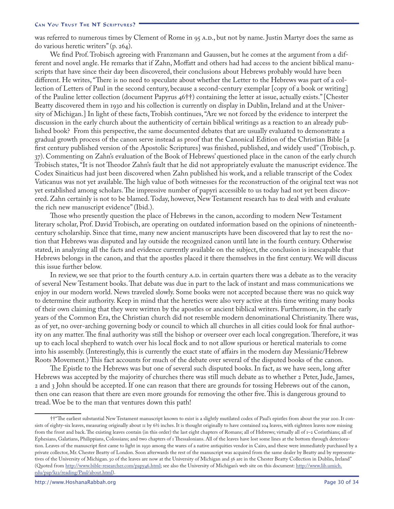was referred to numerous times by Clement of Rome in 95 A.D., but not by name. Justin Martyr does the same as do various heretic writers" (p. 264).

We find Prof. Trobisch agreeing with Franzmann and Gaussen, but he comes at the argument from a different and novel angle. He remarks that if Zahn, Moffatt and others had had access to the ancient biblical manuscripts that have since their day been discovered, their conclusions about Hebrews probably would have been different. He writes, "There is no need to speculate about whether the Letter to the Hebrews was part of a collection of Letters of Paul in the second century, because a second-century exemplar [copy of a book or writing] of the Pauline letter collection (document Papyrus  $46$ ††) containing the letter at issue, actually exists." [Chester Beatty discovered them in 1930 and his collection is currently on display in Dublin, Ireland and at the University of Michigan.] In light of these facts, Trobish continues, "Are we not forced by the evidence to interpret the discussion in the early church about the authenticity of certain biblical writings as a reaction to an already published book? From this perspective, the same documented debates that are usually evaluated to demonstrate a gradual growth process of the canon serve instead as proof that the Canonical Edition of the Christian Bible [a first century published version of the Apostolic Scriptures] was finished, published, and widely used" (Trobisch, p. ). Commenting on Zahn's evaluation of the Book of Hebrews' questioned place in the canon of the early church Trobisch states, "It is not Theodor Zahn's fault that he did not appropriately evaluate the manuscript evidence. The Codex Sinaiticus had just been discovered when Zahn published his work, and a reliable transcript of the Codex Vaticanus was not yet available. The high value of both witnesses for the reconstruction of the original text was not yet established among scholars. The impressive number of papyri accessible to us today had not yet been discovered. Zahn certainly is not to be blamed. Today, however, New Testament research has to deal with and evaluate the rich new manuscript evidence" (Ibid.).

Those who presently question the place of Hebrews in the canon, according to modern New Testament literary scholar, Prof. David Trobisch, are operating on outdated information based on the opinions of nineteenthcentury scholarship. Since that time, many new ancient manuscripts have been discovered that lay to rest the notion that Hebrews was disputed and lay outside the recognized canon until late in the fourth century. Otherwise stated, in analyzing all the facts and evidence currently available on the subject, the conclusion is inescapable that Hebrews belongs in the canon, and that the apostles placed it there themselves in the first century. We will discuss this issue further below.

In review, we see that prior to the fourth century A.D. in certain quarters there was a debate as to the veracity of several New Testament books. That debate was due in part to the lack of instant and mass communications we enjoy in our modern world. News traveled slowly. Some books were not accepted because there was no quick way to determine their authority. Keep in mind that the heretics were also very active at this time writing many books of their own claiming that they were written by the apostles or ancient biblical writers. Furthermore, in the early years of the Common Era, the Christian church did not resemble modern denominational Christianity. There was, as of yet, no over-arching governing body or council to which all churches in all cities could look for final authority on any matter. The final authority was still the bishop or overseer over each local congregation. Therefore, it was up to each local shepherd to watch over his local flock and to not allow spurious or heretical materials to come into his assembly. (Interestingly, this is currently the exact state of affairs in the modern day Messianic/Hebrew Roots Movement.) This fact accounts for much of the debate over several of the disputed books of the canon.

The Epistle to the Hebrews was but one of several such disputed books. In fact, as we have seen, long after Hebrews was accepted by the majority of churches there was still much debate as to whether 2 Peter, Jude, James, 2 and 3 John should be accepted. If one can reason that there are grounds for tossing Hebrews out of the canon, then one can reason that there are even more grounds for removing the other five. This is dangerous ground to tread. Woe be to the man that ventures down this path!

<sup>††&</sup>quot;The earliest substantial New Testament manuscript known to exist is a slightly mutilated codex of Paul's epistles from about the year 200. It consists of eighty-six leaves, measuring originally about 11 by 6½ inches. It is thought originally to have contained 104 leaves, with eighteen leaves now missing from the front and back. The existing leaves contain (in this order) the last eight chapters of Romans; all of Hebrews; virtually all of 1–2 Corinthians; all of Ephesians, Galatians, Philippians, Colossians; and two chapters of 1 Thessalonians. All of the leaves have lost some lines at the bottom through deterioration. Leaves of the manuscript first came to light in 1930 among the wares of a native antiquities vendor in Cairo, and these were immediately purchased by a private collector, Mr. Chester Beatty of London. Soon afterwards the rest of the manuscript was acquired from the same dealer by Beatty and by representatives of the University of Michigan. 30 of the leaves are now at the University of Michigan and 56 are in the Chester Beatty Collection in Dublin, Ireland" (Quoted from [http://www.bible-researcher.com/papy46.html;](http://www.bible-researcher.com/papy46.html) see also the University of Michigan's web site on this document: [http://www.lib.umich.](http://www.lib.umich.edu/pap/k12/reading/Paul/about.html) [edu/pap/k12/reading/Paul/about.html\)](http://www.lib.umich.edu/pap/k12/reading/Paul/about.html).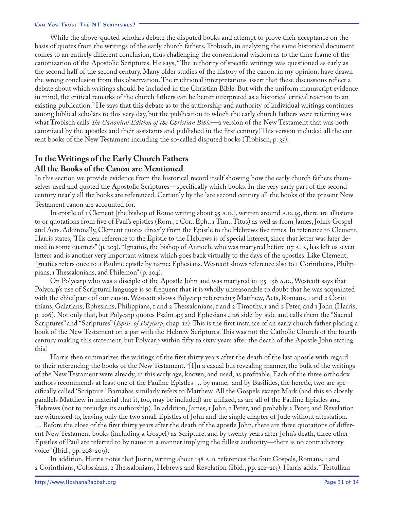While the above-quoted scholars debate the disputed books and attempt to prove their acceptance on the basis of quotes from the writings of the early church fathers, Trobisch, in analyzing the same historical document comes to an entirely different conclusion, thus challenging the conventional wisdom as to the time frame of the canonization of the Apostolic Scriptures. He says, "The authority of specific writings was questioned as early as the second half of the second century. Many older studies of the history of the canon, in my opinion, have drawn the wrong conclusion from this observation. The traditional interpretations assert that these discussions reflect a debate about which writings should be included in the Christian Bible. But with the uniform manuscript evidence in mind, the critical remarks of the church fathers can be better interpreted as a historical critical reaction to an existing publication." He says that this debate as to the authorship and authority of individual writings continues among biblical scholars to this very day, but the publication to which the early church fathers were referring was what Trobisch calls *The Canonical Edition of the Christian Bible* —a version of the New Testament that was both canonized by the apostles and their assistants and published in the first century! This version included all the current books of the New Testament including the so-called disputed books (Trobisch, p.  $35$ ).

# **In the Writings of the Early Church Fathers All the Books of the Canon are Mentioned**

In this section we provide evidence from the historical record itself showing how the early church fathers themselves used and quoted the Apostolic Scriptures—specifically which books. In the very early part of the second century nearly all the books are referenced. Certainly by the late second century all the books of the present New Testament canon are accounted for.

In epistle of  $\bar{I}$  Clement [the bishop of Rome writing about 95 A.D.], written around A.D. 95, there are allusions to or quotations from five of Paul's epistles (Rom., Cor., Eph., Tim., Titus) as well as from James, John's Gospel and Acts. Additonally, Clement quotes directly from the Epistle to the Hebrews five times. In reference to Clement, Harris states, "His clear reference to the Epistle to the Hebrews is of special interest, since that letter was later denied in some quarters" (p. 203). "Ignatius, the bishop of Antioch, who was martyred before 117 A.D., has left us seven letters and is another very important witness which goes back virtually to the days of the apostles. Like Clement, Ignatius refers once to a Pauline epistle by name: Ephesians. Westcott shows reference also to I Corinthians, Philippians,  $\bar{I}$  Thessalonians, and Philemon" (p. 204).

On Polycarp who was a disciple of the Apostle John and was martyred in  $155-156$  A.D., Westcott says that Polycarp's use of Scriptural language is so frequent that it is wholly unreasonable to doubt that he was acquainted with the chief parts of our canon. Westcott shows Polycarp referencing Matthew, Acts, Romans, I and 2 Corinthians, Galatians, Ephesians, Philippians,  $\tau$  and  $\alpha$  Thessalonians,  $\tau$  and  $\alpha$  Timothy,  $\tau$  and  $\alpha$  Peter, and  $\tau$  John (Harris, p. ). Not only that, but Polycarp quotes Psalm 4:5 and Ephesians 4:26 side-by-side and calls them the "Sacred Scriptures" and "Scriptures" (*Epist. of Polycarp*, chap. 12). This is the first instance of an early church father placing a book of the New Testament on a par with the Hebrew Scriptures. This was not the Catholic Church of the fourth century making this statement, but Polycarp within fifty to sixty years after the death of the Apostle John stating this!

Harris then summarizes the writings of the first thirty years after the death of the last apostle with regard to their referencing the books of the New Testament. "[I]n a casual but revealing manner, the bulk of the writings of the New Testament were already, in this early age, known, and used, as profitable. Each of the three orthodox authors recommends at least one of the Pauline Epistles … by name, and by Basilides, the heretic, two are specifically called 'Scripture.' Barnabas similarly refers to Matthew. All the Gospels except Mark (and this so closely parallels Matthew in material that it, too, may be included) are utilized, as are all of the Pauline Epistles and Hebrews (not to prejudge its authorship). In addition, James, I John, I Peter, and probably 2 Peter, and Revelation are witnessed to, leaving only the two small Epistles of John and the single chapter of Jude without attestation. … Before the close of the first thirty years after the death of the apostle John, there are three quotations of different New Testament books (including a Gospel) as Scripture, and by twenty years after John's death, three other Epistles of Paul are referred to by name in a manner implying the fullest authority—there is no contradictory voice" (Ibid., pp.  $208-209$ ).

In addition, Harris notes that Justin, writing about 148 A.D. references the four Gospels, Romans, I and 2 Corinthians, Colossians, 2 Thessalonians, Hebrews and Revelation (Ibid., pp. 212–213). Harris adds, "Tertullian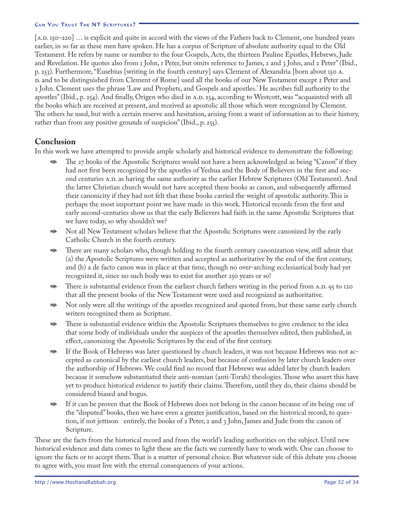[A.D. 150–220] ... is explicit and quite in accord with the views of the Fathers back to Clement, one hundred years earlier, in so far as these men have spoken. He has a corpus of Scripture of absolute authority equal to the Old Testament. He refers by name or number to the four Gospels, Acts, the thirteen Pauline Epistles, Hebrews, Jude and Revelation. He quotes also from I John, I Peter, but omits reference to James, 2 and 3 John, and 2 Peter" (Ibid., p. 253). Furthermore, "Eusebius [writing in the fourth century] says Clement of Alexandria [born about 150 A. D. and to be distinguished from Clement of Rome] used all the books of our New Testament except Peter and John. Clement uses the phrase 'Law and Prophets, and Gospels and apostles.' He ascribes full authority to the apostles" (Ibid., p. 254). And finally, Origen who died in A.D. 254, according to Westcott, was "acquainted with all the books which are received at present, and received as apostolic all those which were recognized by Clement. The others he used, but with a certain reserve and hesitation, arising from a want of information as to their history, rather than from any positive grounds of suspicion" (Ibid., p. 255).

### **Conclusion**

In this work we have attempted to provide ample scholarly and historical evidence to demonstrate the following:

- The 27 books of the Apostolic Scriptures would not have a been acknowledged as being "Canon" if they had not first been recognized by the apostles of Yeshua and the Body of Believers in the first and second centuries A.D. as having the same authority as the earlier Hebrew Scriptures (Old Testament). And the latter Christian church would not have accepted these books as canon, and subsequently affirmed their canonicity if they had not felt that these books carried the weight of apostolic authority. This is perhaps the most important point we have made in this work. Historical records from the first and early second-centuries show us that the early Believers had faith in the same Apostolic Scriptures that we have today, so why shouldn't we? D<sub>A</sub>
- Not all New Testament scholars believe that the Apostolic Scriptures were canonized by the early Catholic Church in the fourth century. D<sub>A</sub>
- There are many scholars who, though holding to the fourth century canonization view, still admit that (a) the Apostolic Scriptures were written and accepted as authoritative by the end of the first century, and (b) a de facto canon was in place at that time, though no over-arching ecclesiastical body had yet recognized it, since no such body was to exist for another 250 years or so! D<sub>A</sub>
- There is substantial evidence from the earliest church fathers writing in the period from A.D. 95 to 120 that all the present books of the New Testament were used and recognized as authoritative. D<sub>A</sub>
- Not only were all the writings of the apostles recognized and quoted from, but these same early church writers recognized them as Scripture. D<sub>A</sub>
- There is substantial evidence within the Apostolic Scriptures themselves to give credence to the idea that some body of individuals under the auspices of the apostles themselves edited, then published, in effect, canonizing the Apostolic Scriptures by the end of the first century. D<sub>A</sub>
- If the Book of Hebrews was later questioned by church leaders, it was not because Hebrews was not accepted as canonical by the earliest church leaders, but because of confusion by later church leaders over the authorship of Hebrews. We could find no record that Hebrews was added later by church leaders because it somehow substantiated their anti-nomian (anti-Torah) theologies. Those who assert this have yet to produce historical evidence to justify their claims. Therefore, until they do, their claims should be considered biased and bogus. D<sub>A</sub>
- If it can be proven that the Book of Hebrews does not belong in the canon because of its being one of the "disputed" books, then we have even a greater justification, based on the historical record, to question, if not jettison entirely, the books of  $\alpha$  Peter,  $\alpha$  and  $\beta$  John, James and Jude from the canon of Scripture. D<sub>A</sub>

These are the facts from the historical record and from the world's leading authorities on the subject. Until new historical evidence and data comes to light these are the facts we currently have to work with. One can choose to ignore the facts or to accept them. That is a matter of personal choice. But whatever side of this debate you choose to agree with, you must live with the eternal consequences of your actions.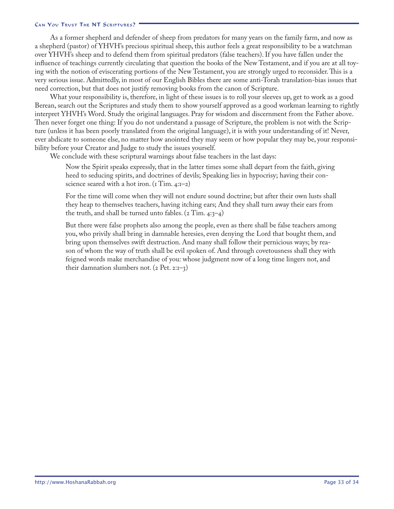As a former shepherd and defender of sheep from predators for many years on the family farm, and now as a shepherd (pastor) of YHVH's precious spiritual sheep, this author feels a great responsibility to be a watchman over YHVH's sheep and to defend them from spiritual predators (false teachers). If you have fallen under the influence of teachings currently circulating that question the books of the New Testament, and if you are at all toying with the notion of eviscerating portions of the New Testament, you are strongly urged to reconsider. This is a very serious issue. Admittedly, in most of our English Bibles there are some anti-Torah translation-bias issues that need correction, but that does not justify removing books from the canon of Scripture.

What your responsibility is, therefore, in light of these issues is to roll your sleeves up, get to work as a good Berean, search out the Scriptures and study them to show yourself approved as a good workman learning to rightly interpret YHVH's Word. Study the original languages. Pray for wisdom and discernment from the Father above. Then never forget one thing: If you do not understand a passage of Scripture, the problem is not with the Scripture (unless it has been poorly translated from the original language), it is with your understanding of it! Never, ever abdicate to someone else, no matter how anointed they may seem or how popular they may be, your responsibility before your Creator and Judge to study the issues yourself.

We conclude with these scriptural warnings about false teachers in the last days:

Now the Spirit speaks expressly, that in the latter times some shall depart from the faith, giving heed to seducing spirits, and doctrines of devils; Speaking lies in hypocrisy; having their conscience seared with a hot iron.  $(I Tim. 4:I-2)$ 

For the time will come when they will not endure sound doctrine; but after their own lusts shall they heap to themselves teachers, having itching ears; And they shall turn away their ears from the truth, and shall be turned unto fables.  $(z \text{ Tim. } 4:3-4)$ 

But there were false prophets also among the people, even as there shall be false teachers among you, who privily shall bring in damnable heresies, even denying the Lord that bought them, and bring upon themselves swift destruction. And many shall follow their pernicious ways; by reason of whom the way of truth shall be evil spoken of. And through covetousness shall they with feigned words make merchandise of you: whose judgment now of a long time lingers not, and their damnation slumbers not.  $(2$  Pet.  $2:1-3)$